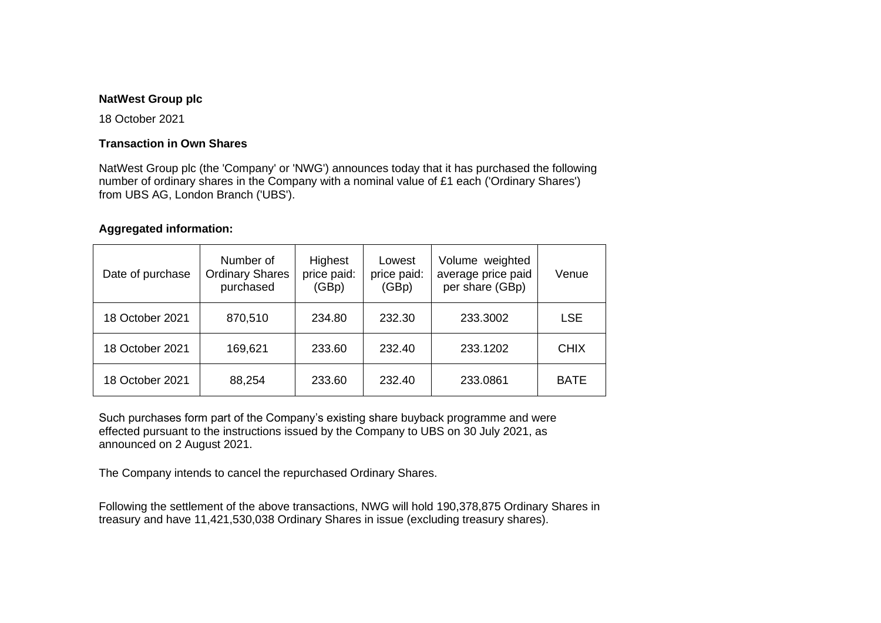## **NatWest Group plc**

18 October 2021

## **Transaction in Own Shares**

NatWest Group plc (the 'Company' or 'NWG') announces today that it has purchased the following number of ordinary shares in the Company with a nominal value of £1 each ('Ordinary Shares') from UBS AG, London Branch ('UBS').

## **Aggregated information:**

| Date of purchase | Number of<br><b>Ordinary Shares</b><br>purchased | Highest<br>price paid:<br>(GBp) | Lowest<br>price paid:<br>(GBp) | Volume weighted<br>average price paid<br>per share (GBp) | Venue       |
|------------------|--------------------------------------------------|---------------------------------|--------------------------------|----------------------------------------------------------|-------------|
| 18 October 2021  | 870,510                                          | 234.80                          | 232.30                         | 233.3002                                                 | <b>LSE</b>  |
| 18 October 2021  | 169,621                                          | 233.60                          | 232.40                         | 233.1202                                                 | <b>CHIX</b> |
| 18 October 2021  | 88,254                                           | 233.60                          | 232.40                         | 233.0861                                                 | <b>BATE</b> |

Such purchases form part of the Company's existing share buyback programme and were effected pursuant to the instructions issued by the Company to UBS on 30 July 2021, as announced on 2 August 2021.

The Company intends to cancel the repurchased Ordinary Shares.

Following the settlement of the above transactions, NWG will hold 190,378,875 Ordinary Shares in treasury and have 11,421,530,038 Ordinary Shares in issue (excluding treasury shares).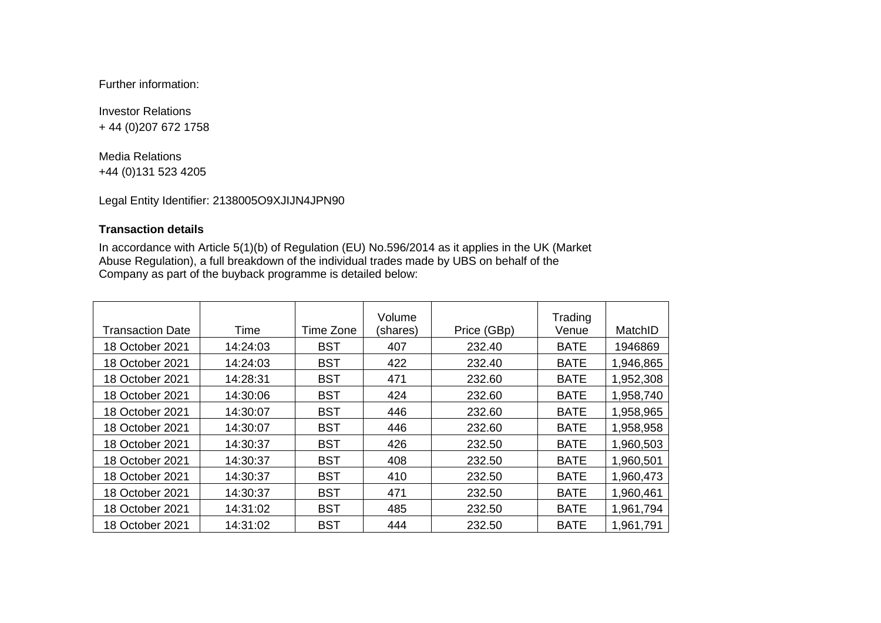Further information:

Investor Relations + 44 (0)207 672 1758

Media Relations +44 (0)131 523 4205

Legal Entity Identifier: 2138005O9XJIJN4JPN90

## **Transaction details**

In accordance with Article 5(1)(b) of Regulation (EU) No.596/2014 as it applies in the UK (Market Abuse Regulation), a full breakdown of the individual trades made by UBS on behalf of the Company as part of the buyback programme is detailed below:

| Transaction Date | Time     | Time Zone  | Volume<br>(shares) | Price (GBp) | Trading<br>Venue | MatchID   |
|------------------|----------|------------|--------------------|-------------|------------------|-----------|
| 18 October 2021  | 14:24:03 | <b>BST</b> | 407                | 232.40      | <b>BATE</b>      | 1946869   |
| 18 October 2021  | 14:24:03 | <b>BST</b> | 422                | 232.40      | <b>BATE</b>      | 1,946,865 |
| 18 October 2021  | 14:28:31 | <b>BST</b> | 471                | 232.60      | <b>BATE</b>      | 1,952,308 |
| 18 October 2021  | 14:30:06 | <b>BST</b> | 424                | 232.60      | <b>BATE</b>      | 1,958,740 |
| 18 October 2021  | 14:30:07 | <b>BST</b> | 446                | 232.60      | <b>BATE</b>      | 1,958,965 |
| 18 October 2021  | 14:30:07 | <b>BST</b> | 446                | 232.60      | <b>BATE</b>      | 1,958,958 |
| 18 October 2021  | 14:30:37 | <b>BST</b> | 426                | 232.50      | <b>BATE</b>      | 1,960,503 |
| 18 October 2021  | 14:30:37 | <b>BST</b> | 408                | 232.50      | <b>BATE</b>      | 1,960,501 |
| 18 October 2021  | 14:30:37 | <b>BST</b> | 410                | 232.50      | <b>BATE</b>      | 1,960,473 |
| 18 October 2021  | 14:30:37 | <b>BST</b> | 471                | 232.50      | <b>BATE</b>      | 1,960,461 |
| 18 October 2021  | 14:31:02 | <b>BST</b> | 485                | 232.50      | <b>BATE</b>      | 1,961,794 |
| 18 October 2021  | 14:31:02 | <b>BST</b> | 444                | 232.50      | <b>BATE</b>      | 1,961,791 |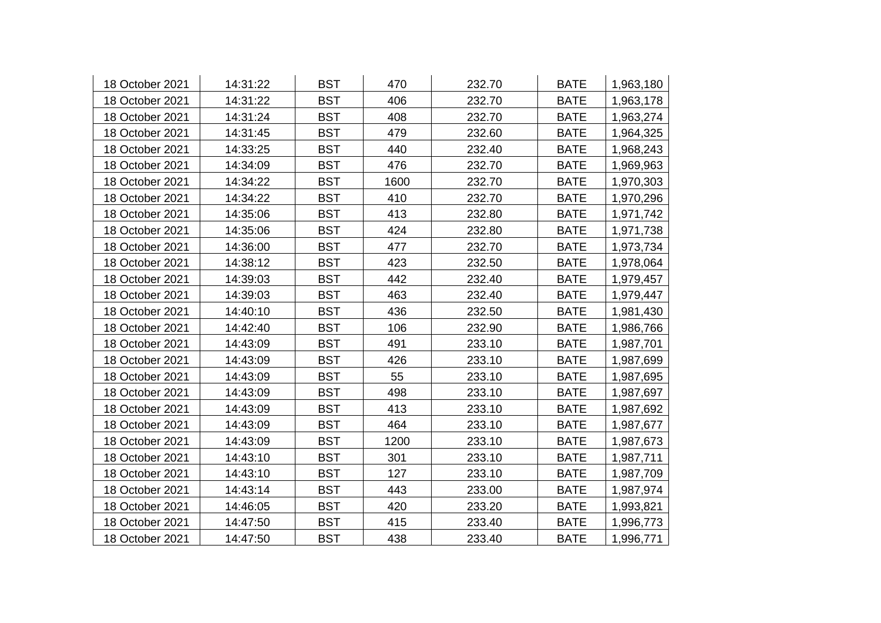| 18 October 2021 | 14:31:22 | <b>BST</b> | 470  | 232.70 | <b>BATE</b> | 1,963,180 |
|-----------------|----------|------------|------|--------|-------------|-----------|
| 18 October 2021 | 14:31:22 | <b>BST</b> | 406  | 232.70 | <b>BATE</b> | 1,963,178 |
| 18 October 2021 | 14:31:24 | <b>BST</b> | 408  | 232.70 | <b>BATE</b> | 1,963,274 |
| 18 October 2021 | 14:31:45 | <b>BST</b> | 479  | 232.60 | <b>BATE</b> | 1,964,325 |
| 18 October 2021 | 14:33:25 | <b>BST</b> | 440  | 232.40 | <b>BATE</b> | 1,968,243 |
| 18 October 2021 | 14:34:09 | <b>BST</b> | 476  | 232.70 | <b>BATE</b> | 1,969,963 |
| 18 October 2021 | 14:34:22 | <b>BST</b> | 1600 | 232.70 | <b>BATE</b> | 1,970,303 |
| 18 October 2021 | 14:34:22 | <b>BST</b> | 410  | 232.70 | <b>BATE</b> | 1,970,296 |
| 18 October 2021 | 14:35:06 | <b>BST</b> | 413  | 232.80 | <b>BATE</b> | 1,971,742 |
| 18 October 2021 | 14:35:06 | <b>BST</b> | 424  | 232.80 | <b>BATE</b> | 1,971,738 |
| 18 October 2021 | 14:36:00 | <b>BST</b> | 477  | 232.70 | <b>BATE</b> | 1,973,734 |
| 18 October 2021 | 14:38:12 | <b>BST</b> | 423  | 232.50 | <b>BATE</b> | 1,978,064 |
| 18 October 2021 | 14:39:03 | <b>BST</b> | 442  | 232.40 | <b>BATE</b> | 1,979,457 |
| 18 October 2021 | 14:39:03 | <b>BST</b> | 463  | 232.40 | <b>BATE</b> | 1,979,447 |
| 18 October 2021 | 14:40:10 | <b>BST</b> | 436  | 232.50 | <b>BATE</b> | 1,981,430 |
| 18 October 2021 | 14:42:40 | <b>BST</b> | 106  | 232.90 | <b>BATE</b> | 1,986,766 |
| 18 October 2021 | 14:43:09 | <b>BST</b> | 491  | 233.10 | <b>BATE</b> | 1,987,701 |
| 18 October 2021 | 14:43:09 | <b>BST</b> | 426  | 233.10 | <b>BATE</b> | 1,987,699 |
| 18 October 2021 | 14:43:09 | <b>BST</b> | 55   | 233.10 | <b>BATE</b> | 1,987,695 |
| 18 October 2021 | 14:43:09 | <b>BST</b> | 498  | 233.10 | <b>BATE</b> | 1,987,697 |
| 18 October 2021 | 14:43:09 | <b>BST</b> | 413  | 233.10 | <b>BATE</b> | 1,987,692 |
| 18 October 2021 | 14:43:09 | <b>BST</b> | 464  | 233.10 | <b>BATE</b> | 1,987,677 |
| 18 October 2021 | 14:43:09 | <b>BST</b> | 1200 | 233.10 | <b>BATE</b> | 1,987,673 |
| 18 October 2021 | 14:43:10 | <b>BST</b> | 301  | 233.10 | <b>BATE</b> | 1,987,711 |
| 18 October 2021 | 14:43:10 | <b>BST</b> | 127  | 233.10 | <b>BATE</b> | 1,987,709 |
| 18 October 2021 | 14:43:14 | <b>BST</b> | 443  | 233.00 | <b>BATE</b> | 1,987,974 |
| 18 October 2021 | 14:46:05 | <b>BST</b> | 420  | 233.20 | <b>BATE</b> | 1,993,821 |
| 18 October 2021 | 14:47:50 | <b>BST</b> | 415  | 233.40 | <b>BATE</b> | 1,996,773 |
| 18 October 2021 | 14:47:50 | <b>BST</b> | 438  | 233.40 | <b>BATE</b> | 1,996,771 |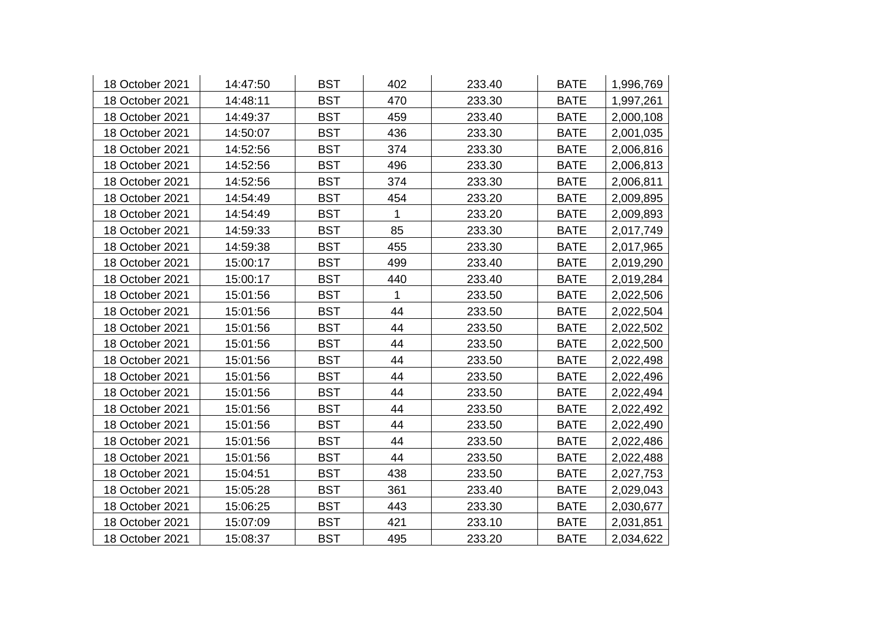| 18 October 2021 | 14:47:50 | <b>BST</b> | 402          | 233.40 | <b>BATE</b> | 1,996,769 |
|-----------------|----------|------------|--------------|--------|-------------|-----------|
| 18 October 2021 | 14:48:11 | <b>BST</b> | 470          | 233.30 | <b>BATE</b> | 1,997,261 |
| 18 October 2021 | 14:49:37 | <b>BST</b> | 459          | 233.40 | <b>BATE</b> | 2,000,108 |
| 18 October 2021 | 14:50:07 | <b>BST</b> | 436          | 233.30 | <b>BATE</b> | 2,001,035 |
| 18 October 2021 | 14:52:56 | <b>BST</b> | 374          | 233.30 | <b>BATE</b> | 2,006,816 |
| 18 October 2021 | 14:52:56 | <b>BST</b> | 496          | 233.30 | <b>BATE</b> | 2,006,813 |
| 18 October 2021 | 14:52:56 | <b>BST</b> | 374          | 233.30 | <b>BATE</b> | 2,006,811 |
| 18 October 2021 | 14:54:49 | <b>BST</b> | 454          | 233.20 | <b>BATE</b> | 2,009,895 |
| 18 October 2021 | 14:54:49 | <b>BST</b> | 1            | 233.20 | <b>BATE</b> | 2,009,893 |
| 18 October 2021 | 14:59:33 | <b>BST</b> | 85           | 233.30 | <b>BATE</b> | 2,017,749 |
| 18 October 2021 | 14:59:38 | <b>BST</b> | 455          | 233.30 | <b>BATE</b> | 2,017,965 |
| 18 October 2021 | 15:00:17 | <b>BST</b> | 499          | 233.40 | <b>BATE</b> | 2,019,290 |
| 18 October 2021 | 15:00:17 | <b>BST</b> | 440          | 233.40 | <b>BATE</b> | 2,019,284 |
| 18 October 2021 | 15:01:56 | <b>BST</b> | $\mathbf{1}$ | 233.50 | <b>BATE</b> | 2,022,506 |
| 18 October 2021 | 15:01:56 | <b>BST</b> | 44           | 233.50 | <b>BATE</b> | 2,022,504 |
| 18 October 2021 | 15:01:56 | <b>BST</b> | 44           | 233.50 | <b>BATE</b> | 2,022,502 |
| 18 October 2021 | 15:01:56 | <b>BST</b> | 44           | 233.50 | <b>BATE</b> | 2,022,500 |
| 18 October 2021 | 15:01:56 | <b>BST</b> | 44           | 233.50 | <b>BATE</b> | 2,022,498 |
| 18 October 2021 | 15:01:56 | <b>BST</b> | 44           | 233.50 | <b>BATE</b> | 2,022,496 |
| 18 October 2021 | 15:01:56 | <b>BST</b> | 44           | 233.50 | <b>BATE</b> | 2,022,494 |
| 18 October 2021 | 15:01:56 | <b>BST</b> | 44           | 233.50 | <b>BATE</b> | 2,022,492 |
| 18 October 2021 | 15:01:56 | <b>BST</b> | 44           | 233.50 | <b>BATE</b> | 2,022,490 |
| 18 October 2021 | 15:01:56 | <b>BST</b> | 44           | 233.50 | <b>BATE</b> | 2,022,486 |
| 18 October 2021 | 15:01:56 | <b>BST</b> | 44           | 233.50 | <b>BATE</b> | 2,022,488 |
| 18 October 2021 | 15:04:51 | <b>BST</b> | 438          | 233.50 | <b>BATE</b> | 2,027,753 |
| 18 October 2021 | 15:05:28 | <b>BST</b> | 361          | 233.40 | <b>BATE</b> | 2,029,043 |
| 18 October 2021 | 15:06:25 | <b>BST</b> | 443          | 233.30 | <b>BATE</b> | 2,030,677 |
| 18 October 2021 | 15:07:09 | <b>BST</b> | 421          | 233.10 | <b>BATE</b> | 2,031,851 |
| 18 October 2021 | 15:08:37 | <b>BST</b> | 495          | 233.20 | <b>BATE</b> | 2,034,622 |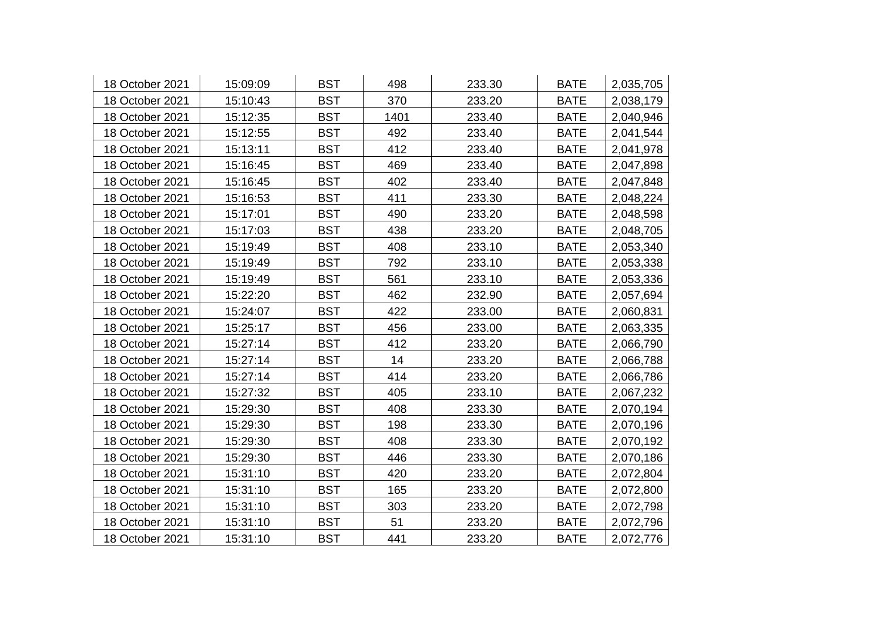| 18 October 2021 | 15:09:09 | <b>BST</b> | 498  | 233.30 | <b>BATE</b> | 2,035,705 |
|-----------------|----------|------------|------|--------|-------------|-----------|
| 18 October 2021 | 15:10:43 | <b>BST</b> | 370  | 233.20 | <b>BATE</b> | 2,038,179 |
| 18 October 2021 | 15:12:35 | <b>BST</b> | 1401 | 233.40 | <b>BATE</b> | 2,040,946 |
| 18 October 2021 | 15:12:55 | <b>BST</b> | 492  | 233.40 | <b>BATE</b> | 2,041,544 |
| 18 October 2021 | 15:13:11 | <b>BST</b> | 412  | 233.40 | <b>BATE</b> | 2,041,978 |
| 18 October 2021 | 15:16:45 | <b>BST</b> | 469  | 233.40 | <b>BATE</b> | 2,047,898 |
| 18 October 2021 | 15:16:45 | <b>BST</b> | 402  | 233.40 | <b>BATE</b> | 2,047,848 |
| 18 October 2021 | 15:16:53 | <b>BST</b> | 411  | 233.30 | <b>BATE</b> | 2,048,224 |
| 18 October 2021 | 15:17:01 | <b>BST</b> | 490  | 233.20 | <b>BATE</b> | 2,048,598 |
| 18 October 2021 | 15:17:03 | <b>BST</b> | 438  | 233.20 | <b>BATE</b> | 2,048,705 |
| 18 October 2021 | 15:19:49 | <b>BST</b> | 408  | 233.10 | <b>BATE</b> | 2,053,340 |
| 18 October 2021 | 15:19:49 | <b>BST</b> | 792  | 233.10 | <b>BATE</b> | 2,053,338 |
| 18 October 2021 | 15:19:49 | <b>BST</b> | 561  | 233.10 | <b>BATE</b> | 2,053,336 |
| 18 October 2021 | 15:22:20 | <b>BST</b> | 462  | 232.90 | <b>BATE</b> | 2,057,694 |
| 18 October 2021 | 15:24:07 | <b>BST</b> | 422  | 233.00 | <b>BATE</b> | 2,060,831 |
| 18 October 2021 | 15:25:17 | <b>BST</b> | 456  | 233.00 | <b>BATE</b> | 2,063,335 |
| 18 October 2021 | 15:27:14 | <b>BST</b> | 412  | 233.20 | <b>BATE</b> | 2,066,790 |
| 18 October 2021 | 15:27:14 | <b>BST</b> | 14   | 233.20 | <b>BATE</b> | 2,066,788 |
| 18 October 2021 | 15:27:14 | <b>BST</b> | 414  | 233.20 | <b>BATE</b> | 2,066,786 |
| 18 October 2021 | 15:27:32 | <b>BST</b> | 405  | 233.10 | <b>BATE</b> | 2,067,232 |
| 18 October 2021 | 15:29:30 | <b>BST</b> | 408  | 233.30 | <b>BATE</b> | 2,070,194 |
| 18 October 2021 | 15:29:30 | <b>BST</b> | 198  | 233.30 | <b>BATE</b> | 2,070,196 |
| 18 October 2021 | 15:29:30 | <b>BST</b> | 408  | 233.30 | <b>BATE</b> | 2,070,192 |
| 18 October 2021 | 15:29:30 | <b>BST</b> | 446  | 233.30 | <b>BATE</b> | 2,070,186 |
| 18 October 2021 | 15:31:10 | <b>BST</b> | 420  | 233.20 | <b>BATE</b> | 2,072,804 |
| 18 October 2021 | 15:31:10 | <b>BST</b> | 165  | 233.20 | <b>BATE</b> | 2,072,800 |
| 18 October 2021 | 15:31:10 | <b>BST</b> | 303  | 233.20 | <b>BATE</b> | 2,072,798 |
| 18 October 2021 | 15:31:10 | <b>BST</b> | 51   | 233.20 | <b>BATE</b> | 2,072,796 |
| 18 October 2021 | 15:31:10 | <b>BST</b> | 441  | 233.20 | <b>BATE</b> | 2,072,776 |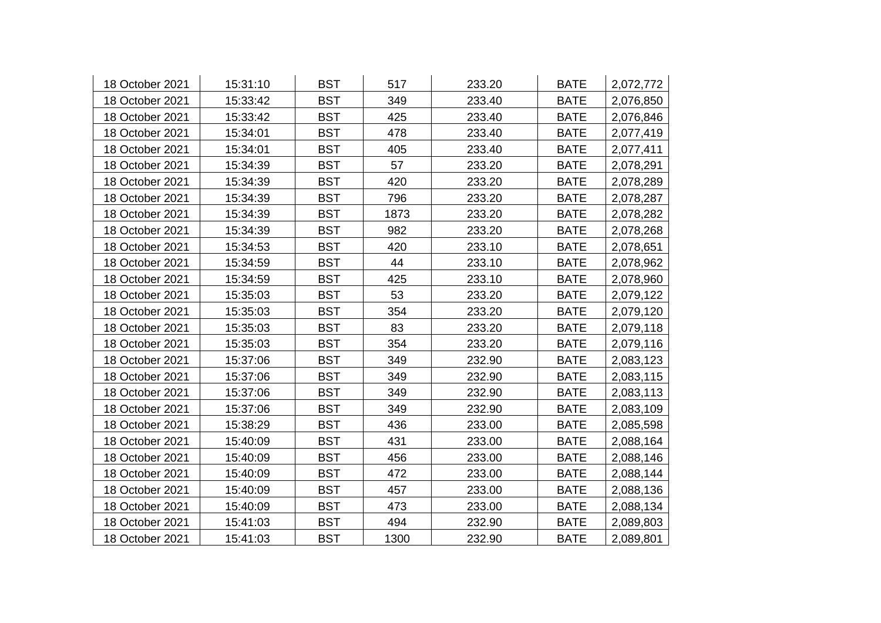| 18 October 2021 | 15:31:10 | <b>BST</b> | 517  | 233.20 | <b>BATE</b> | 2,072,772 |
|-----------------|----------|------------|------|--------|-------------|-----------|
| 18 October 2021 | 15:33:42 | <b>BST</b> | 349  | 233.40 | <b>BATE</b> | 2,076,850 |
| 18 October 2021 | 15:33:42 | <b>BST</b> | 425  | 233.40 | <b>BATE</b> | 2,076,846 |
| 18 October 2021 | 15:34:01 | <b>BST</b> | 478  | 233.40 | <b>BATE</b> | 2,077,419 |
| 18 October 2021 | 15:34:01 | <b>BST</b> | 405  | 233.40 | <b>BATE</b> | 2,077,411 |
| 18 October 2021 | 15:34:39 | <b>BST</b> | 57   | 233.20 | <b>BATE</b> | 2,078,291 |
| 18 October 2021 | 15:34:39 | <b>BST</b> | 420  | 233.20 | <b>BATE</b> | 2,078,289 |
| 18 October 2021 | 15:34:39 | <b>BST</b> | 796  | 233.20 | <b>BATE</b> | 2,078,287 |
| 18 October 2021 | 15:34:39 | <b>BST</b> | 1873 | 233.20 | <b>BATE</b> | 2,078,282 |
| 18 October 2021 | 15:34:39 | <b>BST</b> | 982  | 233.20 | <b>BATE</b> | 2,078,268 |
| 18 October 2021 | 15:34:53 | <b>BST</b> | 420  | 233.10 | <b>BATE</b> | 2,078,651 |
| 18 October 2021 | 15:34:59 | <b>BST</b> | 44   | 233.10 | <b>BATE</b> | 2,078,962 |
| 18 October 2021 | 15:34:59 | <b>BST</b> | 425  | 233.10 | <b>BATE</b> | 2,078,960 |
| 18 October 2021 | 15:35:03 | <b>BST</b> | 53   | 233.20 | <b>BATE</b> | 2,079,122 |
| 18 October 2021 | 15:35:03 | <b>BST</b> | 354  | 233.20 | <b>BATE</b> | 2,079,120 |
| 18 October 2021 | 15:35:03 | <b>BST</b> | 83   | 233.20 | <b>BATE</b> | 2,079,118 |
| 18 October 2021 | 15:35:03 | <b>BST</b> | 354  | 233.20 | <b>BATE</b> | 2,079,116 |
| 18 October 2021 | 15:37:06 | <b>BST</b> | 349  | 232.90 | <b>BATE</b> | 2,083,123 |
| 18 October 2021 | 15:37:06 | <b>BST</b> | 349  | 232.90 | <b>BATE</b> | 2,083,115 |
| 18 October 2021 | 15:37:06 | <b>BST</b> | 349  | 232.90 | <b>BATE</b> | 2,083,113 |
| 18 October 2021 | 15:37:06 | <b>BST</b> | 349  | 232.90 | <b>BATE</b> | 2,083,109 |
| 18 October 2021 | 15:38:29 | <b>BST</b> | 436  | 233.00 | <b>BATE</b> | 2,085,598 |
| 18 October 2021 | 15:40:09 | <b>BST</b> | 431  | 233.00 | <b>BATE</b> | 2,088,164 |
| 18 October 2021 | 15:40:09 | <b>BST</b> | 456  | 233.00 | <b>BATE</b> | 2,088,146 |
| 18 October 2021 | 15:40:09 | <b>BST</b> | 472  | 233.00 | <b>BATE</b> | 2,088,144 |
| 18 October 2021 | 15:40:09 | <b>BST</b> | 457  | 233.00 | <b>BATE</b> | 2,088,136 |
| 18 October 2021 | 15:40:09 | <b>BST</b> | 473  | 233.00 | <b>BATE</b> | 2,088,134 |
| 18 October 2021 | 15:41:03 | <b>BST</b> | 494  | 232.90 | <b>BATE</b> | 2,089,803 |
| 18 October 2021 | 15:41:03 | <b>BST</b> | 1300 | 232.90 | <b>BATE</b> | 2,089,801 |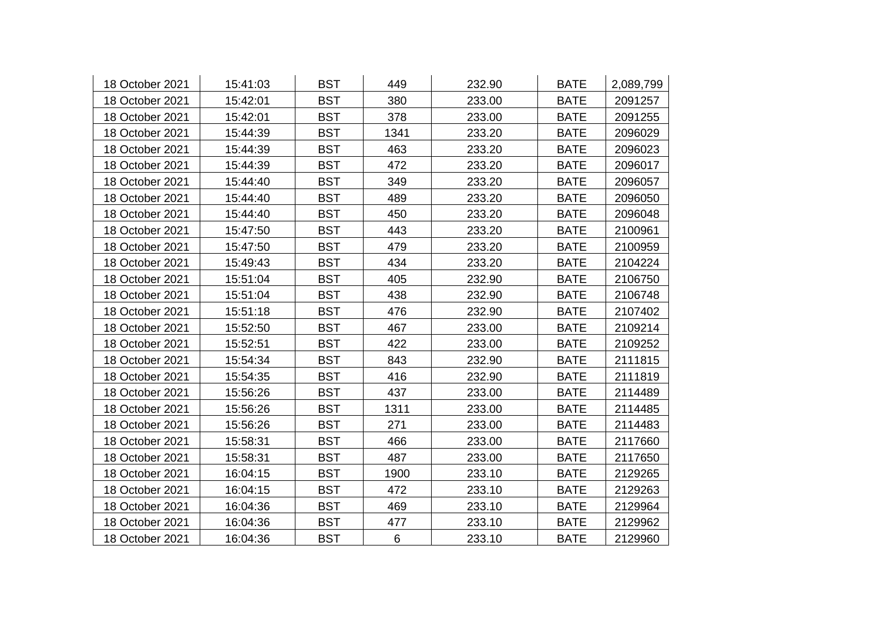| 18 October 2021 | 15:41:03 | <b>BST</b> | 449  | 232.90 | <b>BATE</b> | 2,089,799 |
|-----------------|----------|------------|------|--------|-------------|-----------|
| 18 October 2021 | 15:42:01 | <b>BST</b> | 380  | 233.00 | <b>BATE</b> | 2091257   |
| 18 October 2021 | 15:42:01 | <b>BST</b> | 378  | 233.00 | <b>BATE</b> | 2091255   |
| 18 October 2021 | 15:44:39 | <b>BST</b> | 1341 | 233.20 | <b>BATE</b> | 2096029   |
| 18 October 2021 | 15:44:39 | <b>BST</b> | 463  | 233.20 | <b>BATE</b> | 2096023   |
| 18 October 2021 | 15:44:39 | <b>BST</b> | 472  | 233.20 | <b>BATE</b> | 2096017   |
| 18 October 2021 | 15:44:40 | <b>BST</b> | 349  | 233.20 | <b>BATE</b> | 2096057   |
| 18 October 2021 | 15:44:40 | <b>BST</b> | 489  | 233.20 | <b>BATE</b> | 2096050   |
| 18 October 2021 | 15:44:40 | <b>BST</b> | 450  | 233.20 | <b>BATE</b> | 2096048   |
| 18 October 2021 | 15:47:50 | <b>BST</b> | 443  | 233.20 | <b>BATE</b> | 2100961   |
| 18 October 2021 | 15:47:50 | <b>BST</b> | 479  | 233.20 | <b>BATE</b> | 2100959   |
| 18 October 2021 | 15:49:43 | <b>BST</b> | 434  | 233.20 | <b>BATE</b> | 2104224   |
| 18 October 2021 | 15:51:04 | <b>BST</b> | 405  | 232.90 | <b>BATE</b> | 2106750   |
| 18 October 2021 | 15:51:04 | <b>BST</b> | 438  | 232.90 | <b>BATE</b> | 2106748   |
| 18 October 2021 | 15:51:18 | <b>BST</b> | 476  | 232.90 | <b>BATE</b> | 2107402   |
| 18 October 2021 | 15:52:50 | <b>BST</b> | 467  | 233.00 | <b>BATE</b> | 2109214   |
| 18 October 2021 | 15:52:51 | <b>BST</b> | 422  | 233.00 | <b>BATE</b> | 2109252   |
| 18 October 2021 | 15:54:34 | <b>BST</b> | 843  | 232.90 | <b>BATE</b> | 2111815   |
| 18 October 2021 | 15:54:35 | <b>BST</b> | 416  | 232.90 | <b>BATE</b> | 2111819   |
| 18 October 2021 | 15:56:26 | <b>BST</b> | 437  | 233.00 | <b>BATE</b> | 2114489   |
| 18 October 2021 | 15:56:26 | <b>BST</b> | 1311 | 233.00 | <b>BATE</b> | 2114485   |
| 18 October 2021 | 15:56:26 | <b>BST</b> | 271  | 233.00 | <b>BATE</b> | 2114483   |
| 18 October 2021 | 15:58:31 | <b>BST</b> | 466  | 233.00 | <b>BATE</b> | 2117660   |
| 18 October 2021 | 15:58:31 | <b>BST</b> | 487  | 233.00 | <b>BATE</b> | 2117650   |
| 18 October 2021 | 16:04:15 | <b>BST</b> | 1900 | 233.10 | <b>BATE</b> | 2129265   |
| 18 October 2021 | 16:04:15 | <b>BST</b> | 472  | 233.10 | <b>BATE</b> | 2129263   |
| 18 October 2021 | 16:04:36 | <b>BST</b> | 469  | 233.10 | <b>BATE</b> | 2129964   |
| 18 October 2021 | 16:04:36 | <b>BST</b> | 477  | 233.10 | <b>BATE</b> | 2129962   |
| 18 October 2021 | 16:04:36 | <b>BST</b> | 6    | 233.10 | <b>BATE</b> | 2129960   |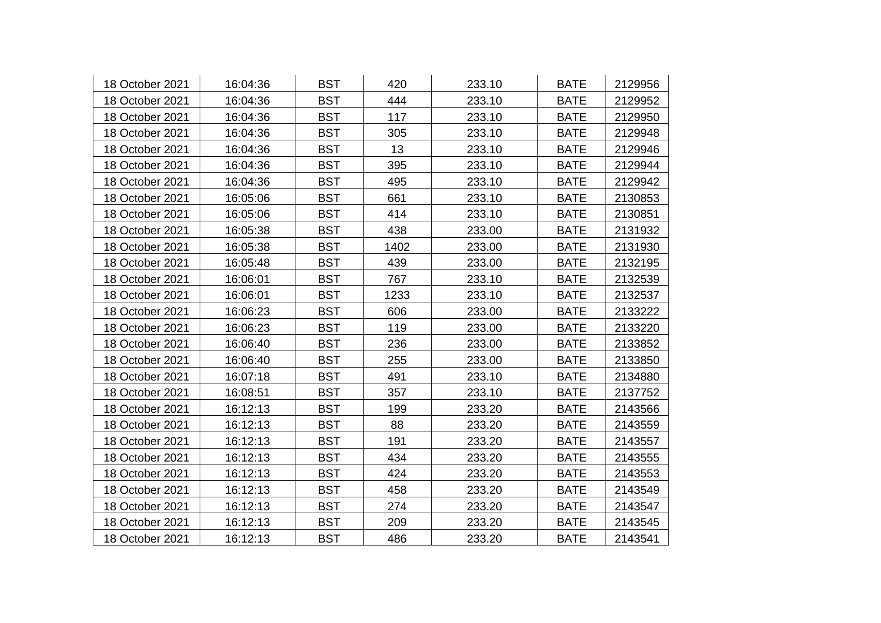| 18 October 2021 | 16:04:36 | <b>BST</b> | 420  | 233.10 | <b>BATE</b> | 2129956 |
|-----------------|----------|------------|------|--------|-------------|---------|
| 18 October 2021 | 16:04:36 | <b>BST</b> | 444  | 233.10 | <b>BATE</b> | 2129952 |
| 18 October 2021 | 16:04:36 | <b>BST</b> | 117  | 233.10 | <b>BATE</b> | 2129950 |
| 18 October 2021 | 16:04:36 | <b>BST</b> | 305  | 233.10 | <b>BATE</b> | 2129948 |
| 18 October 2021 | 16:04:36 | <b>BST</b> | 13   | 233.10 | <b>BATE</b> | 2129946 |
| 18 October 2021 | 16:04:36 | <b>BST</b> | 395  | 233.10 | <b>BATE</b> | 2129944 |
| 18 October 2021 | 16:04:36 | <b>BST</b> | 495  | 233.10 | <b>BATE</b> | 2129942 |
| 18 October 2021 | 16:05:06 | <b>BST</b> | 661  | 233.10 | <b>BATE</b> | 2130853 |
| 18 October 2021 | 16:05:06 | <b>BST</b> | 414  | 233.10 | <b>BATE</b> | 2130851 |
| 18 October 2021 | 16:05:38 | <b>BST</b> | 438  | 233.00 | <b>BATE</b> | 2131932 |
| 18 October 2021 | 16:05:38 | <b>BST</b> | 1402 | 233.00 | <b>BATE</b> | 2131930 |
| 18 October 2021 | 16:05:48 | <b>BST</b> | 439  | 233.00 | <b>BATE</b> | 2132195 |
| 18 October 2021 | 16:06:01 | <b>BST</b> | 767  | 233.10 | <b>BATE</b> | 2132539 |
| 18 October 2021 | 16:06:01 | <b>BST</b> | 1233 | 233.10 | <b>BATE</b> | 2132537 |
| 18 October 2021 | 16:06:23 | <b>BST</b> | 606  | 233.00 | <b>BATE</b> | 2133222 |
| 18 October 2021 | 16:06:23 | <b>BST</b> | 119  | 233.00 | <b>BATE</b> | 2133220 |
| 18 October 2021 | 16:06:40 | <b>BST</b> | 236  | 233.00 | <b>BATE</b> | 2133852 |
| 18 October 2021 | 16:06:40 | <b>BST</b> | 255  | 233.00 | <b>BATE</b> | 2133850 |
| 18 October 2021 | 16:07:18 | <b>BST</b> | 491  | 233.10 | <b>BATE</b> | 2134880 |
| 18 October 2021 | 16:08:51 | <b>BST</b> | 357  | 233.10 | <b>BATE</b> | 2137752 |
| 18 October 2021 | 16:12:13 | <b>BST</b> | 199  | 233.20 | <b>BATE</b> | 2143566 |
| 18 October 2021 | 16:12:13 | <b>BST</b> | 88   | 233.20 | <b>BATE</b> | 2143559 |
| 18 October 2021 | 16:12:13 | <b>BST</b> | 191  | 233.20 | <b>BATE</b> | 2143557 |
| 18 October 2021 | 16:12:13 | <b>BST</b> | 434  | 233.20 | <b>BATE</b> | 2143555 |
| 18 October 2021 | 16:12:13 | <b>BST</b> | 424  | 233.20 | <b>BATE</b> | 2143553 |
| 18 October 2021 | 16:12:13 | <b>BST</b> | 458  | 233.20 | <b>BATE</b> | 2143549 |
| 18 October 2021 | 16:12:13 | <b>BST</b> | 274  | 233.20 | <b>BATE</b> | 2143547 |
| 18 October 2021 | 16:12:13 | <b>BST</b> | 209  | 233.20 | <b>BATE</b> | 2143545 |
| 18 October 2021 | 16:12:13 | <b>BST</b> | 486  | 233.20 | <b>BATE</b> | 2143541 |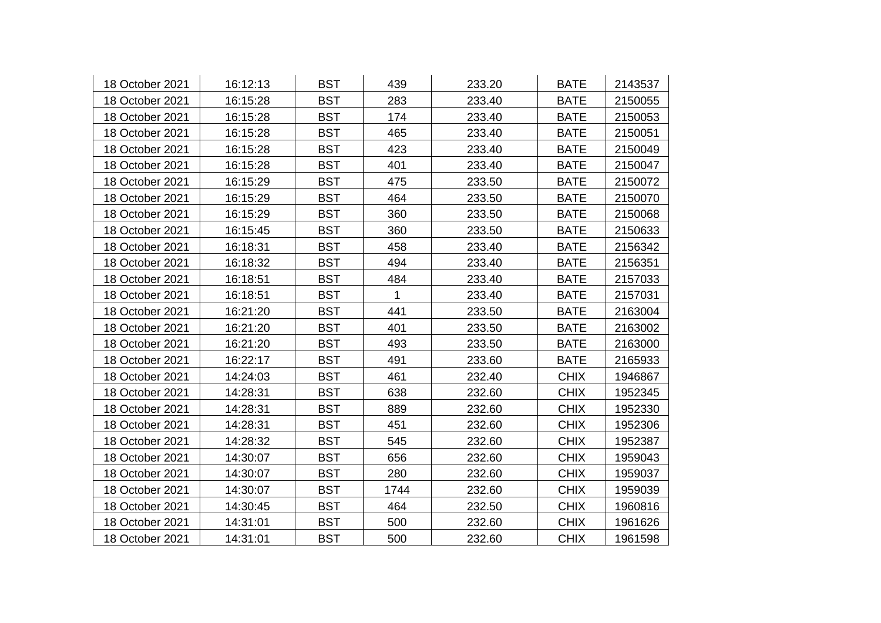| 18 October 2021 | 16:12:13 | <b>BST</b> | 439  | 233.20 | <b>BATE</b> | 2143537 |
|-----------------|----------|------------|------|--------|-------------|---------|
| 18 October 2021 | 16:15:28 | <b>BST</b> | 283  | 233.40 | <b>BATE</b> | 2150055 |
| 18 October 2021 | 16:15:28 | <b>BST</b> | 174  | 233.40 | <b>BATE</b> | 2150053 |
| 18 October 2021 | 16:15:28 | <b>BST</b> | 465  | 233.40 | <b>BATE</b> | 2150051 |
| 18 October 2021 | 16:15:28 | <b>BST</b> | 423  | 233.40 | <b>BATE</b> | 2150049 |
| 18 October 2021 | 16:15:28 | <b>BST</b> | 401  | 233.40 | <b>BATE</b> | 2150047 |
| 18 October 2021 | 16:15:29 | <b>BST</b> | 475  | 233.50 | <b>BATE</b> | 2150072 |
| 18 October 2021 | 16:15:29 | <b>BST</b> | 464  | 233.50 | <b>BATE</b> | 2150070 |
| 18 October 2021 | 16:15:29 | <b>BST</b> | 360  | 233.50 | <b>BATE</b> | 2150068 |
| 18 October 2021 | 16:15:45 | <b>BST</b> | 360  | 233.50 | <b>BATE</b> | 2150633 |
| 18 October 2021 | 16:18:31 | <b>BST</b> | 458  | 233.40 | <b>BATE</b> | 2156342 |
| 18 October 2021 | 16:18:32 | <b>BST</b> | 494  | 233.40 | <b>BATE</b> | 2156351 |
| 18 October 2021 | 16:18:51 | <b>BST</b> | 484  | 233.40 | <b>BATE</b> | 2157033 |
| 18 October 2021 | 16:18:51 | <b>BST</b> | 1    | 233.40 | <b>BATE</b> | 2157031 |
| 18 October 2021 | 16:21:20 | <b>BST</b> | 441  | 233.50 | <b>BATE</b> | 2163004 |
| 18 October 2021 | 16:21:20 | <b>BST</b> | 401  | 233.50 | <b>BATE</b> | 2163002 |
| 18 October 2021 | 16:21:20 | <b>BST</b> | 493  | 233.50 | <b>BATE</b> | 2163000 |
| 18 October 2021 | 16:22:17 | <b>BST</b> | 491  | 233.60 | <b>BATE</b> | 2165933 |
| 18 October 2021 | 14:24:03 | <b>BST</b> | 461  | 232.40 | <b>CHIX</b> | 1946867 |
| 18 October 2021 | 14:28:31 | <b>BST</b> | 638  | 232.60 | <b>CHIX</b> | 1952345 |
| 18 October 2021 | 14:28:31 | <b>BST</b> | 889  | 232.60 | <b>CHIX</b> | 1952330 |
| 18 October 2021 | 14:28:31 | <b>BST</b> | 451  | 232.60 | <b>CHIX</b> | 1952306 |
| 18 October 2021 | 14:28:32 | <b>BST</b> | 545  | 232.60 | <b>CHIX</b> | 1952387 |
| 18 October 2021 | 14:30:07 | <b>BST</b> | 656  | 232.60 | <b>CHIX</b> | 1959043 |
| 18 October 2021 | 14:30:07 | <b>BST</b> | 280  | 232.60 | <b>CHIX</b> | 1959037 |
| 18 October 2021 | 14:30:07 | <b>BST</b> | 1744 | 232.60 | <b>CHIX</b> | 1959039 |
| 18 October 2021 | 14:30:45 | <b>BST</b> | 464  | 232.50 | <b>CHIX</b> | 1960816 |
| 18 October 2021 | 14:31:01 | <b>BST</b> | 500  | 232.60 | <b>CHIX</b> | 1961626 |
| 18 October 2021 | 14:31:01 | <b>BST</b> | 500  | 232.60 | <b>CHIX</b> | 1961598 |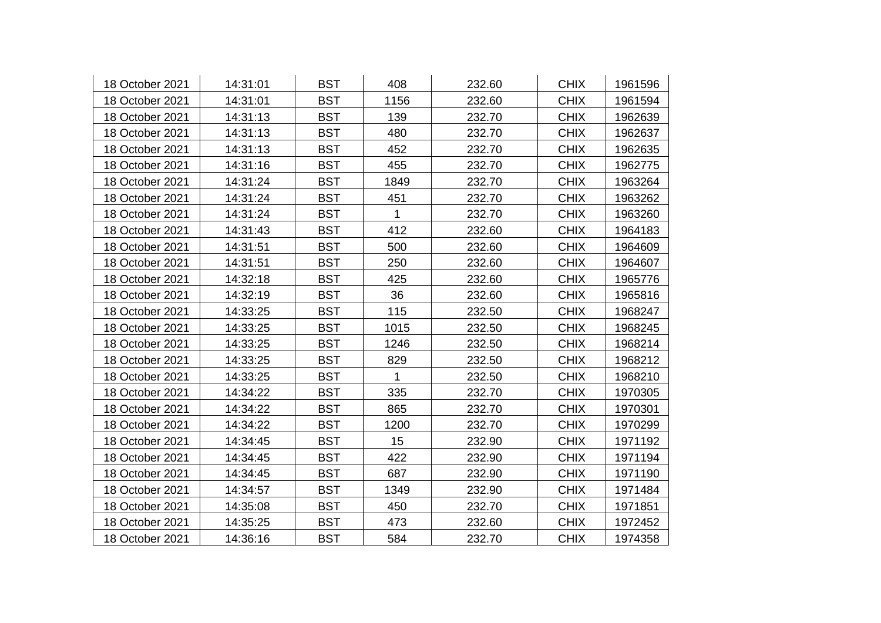| 18 October 2021 | 14:31:01 | <b>BST</b> | 408         | 232.60 | <b>CHIX</b> | 1961596 |
|-----------------|----------|------------|-------------|--------|-------------|---------|
| 18 October 2021 | 14:31:01 | <b>BST</b> | 1156        | 232.60 | <b>CHIX</b> | 1961594 |
| 18 October 2021 | 14:31:13 | <b>BST</b> | 139         | 232.70 | <b>CHIX</b> | 1962639 |
| 18 October 2021 | 14:31:13 | <b>BST</b> | 480         | 232.70 | <b>CHIX</b> | 1962637 |
| 18 October 2021 | 14:31:13 | <b>BST</b> | 452         | 232.70 | <b>CHIX</b> | 1962635 |
| 18 October 2021 | 14:31:16 | <b>BST</b> | 455         | 232.70 | <b>CHIX</b> | 1962775 |
| 18 October 2021 | 14:31:24 | <b>BST</b> | 1849        | 232.70 | <b>CHIX</b> | 1963264 |
| 18 October 2021 | 14:31:24 | <b>BST</b> | 451         | 232.70 | <b>CHIX</b> | 1963262 |
| 18 October 2021 | 14:31:24 | <b>BST</b> | 1           | 232.70 | <b>CHIX</b> | 1963260 |
| 18 October 2021 | 14:31:43 | <b>BST</b> | 412         | 232.60 | <b>CHIX</b> | 1964183 |
| 18 October 2021 | 14:31:51 | <b>BST</b> | 500         | 232.60 | <b>CHIX</b> | 1964609 |
| 18 October 2021 | 14:31:51 | <b>BST</b> | 250         | 232.60 | <b>CHIX</b> | 1964607 |
| 18 October 2021 | 14:32:18 | <b>BST</b> | 425         | 232.60 | <b>CHIX</b> | 1965776 |
| 18 October 2021 | 14:32:19 | <b>BST</b> | 36          | 232.60 | <b>CHIX</b> | 1965816 |
| 18 October 2021 | 14:33:25 | <b>BST</b> | 115         | 232.50 | <b>CHIX</b> | 1968247 |
| 18 October 2021 | 14:33:25 | <b>BST</b> | 1015        | 232.50 | <b>CHIX</b> | 1968245 |
| 18 October 2021 | 14:33:25 | <b>BST</b> | 1246        | 232.50 | <b>CHIX</b> | 1968214 |
| 18 October 2021 | 14:33:25 | <b>BST</b> | 829         | 232.50 | <b>CHIX</b> | 1968212 |
| 18 October 2021 | 14:33:25 | <b>BST</b> | $\mathbf 1$ | 232.50 | <b>CHIX</b> | 1968210 |
| 18 October 2021 | 14:34:22 | <b>BST</b> | 335         | 232.70 | <b>CHIX</b> | 1970305 |
| 18 October 2021 | 14:34:22 | <b>BST</b> | 865         | 232.70 | <b>CHIX</b> | 1970301 |
| 18 October 2021 | 14:34:22 | <b>BST</b> | 1200        | 232.70 | <b>CHIX</b> | 1970299 |
| 18 October 2021 | 14:34:45 | <b>BST</b> | 15          | 232.90 | <b>CHIX</b> | 1971192 |
| 18 October 2021 | 14:34:45 | <b>BST</b> | 422         | 232.90 | <b>CHIX</b> | 1971194 |
| 18 October 2021 | 14:34:45 | <b>BST</b> | 687         | 232.90 | <b>CHIX</b> | 1971190 |
| 18 October 2021 | 14:34:57 | <b>BST</b> | 1349        | 232.90 | <b>CHIX</b> | 1971484 |
| 18 October 2021 | 14:35:08 | <b>BST</b> | 450         | 232.70 | <b>CHIX</b> | 1971851 |
| 18 October 2021 | 14:35:25 | <b>BST</b> | 473         | 232.60 | <b>CHIX</b> | 1972452 |
| 18 October 2021 | 14:36:16 | <b>BST</b> | 584         | 232.70 | <b>CHIX</b> | 1974358 |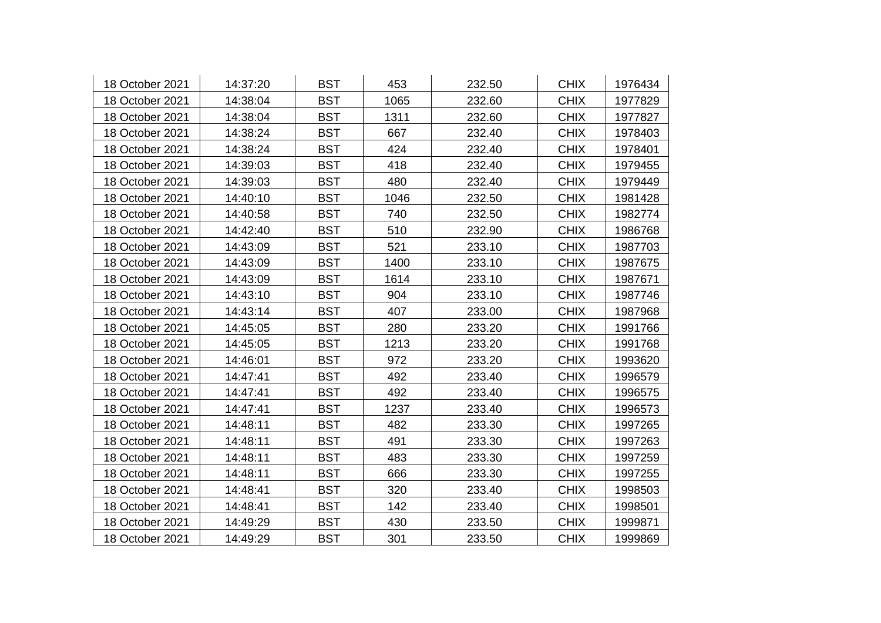| 18 October 2021 | 14:37:20 | <b>BST</b> | 453  | 232.50 | <b>CHIX</b> | 1976434 |
|-----------------|----------|------------|------|--------|-------------|---------|
| 18 October 2021 | 14:38:04 | <b>BST</b> | 1065 | 232.60 | <b>CHIX</b> | 1977829 |
| 18 October 2021 | 14:38:04 | <b>BST</b> | 1311 | 232.60 | <b>CHIX</b> | 1977827 |
| 18 October 2021 | 14:38:24 | <b>BST</b> | 667  | 232.40 | <b>CHIX</b> | 1978403 |
| 18 October 2021 | 14:38:24 | <b>BST</b> | 424  | 232.40 | <b>CHIX</b> | 1978401 |
| 18 October 2021 | 14:39:03 | <b>BST</b> | 418  | 232.40 | <b>CHIX</b> | 1979455 |
| 18 October 2021 | 14:39:03 | <b>BST</b> | 480  | 232.40 | <b>CHIX</b> | 1979449 |
| 18 October 2021 | 14:40:10 | <b>BST</b> | 1046 | 232.50 | <b>CHIX</b> | 1981428 |
| 18 October 2021 | 14:40:58 | <b>BST</b> | 740  | 232.50 | <b>CHIX</b> | 1982774 |
| 18 October 2021 | 14:42:40 | <b>BST</b> | 510  | 232.90 | <b>CHIX</b> | 1986768 |
| 18 October 2021 | 14:43:09 | <b>BST</b> | 521  | 233.10 | <b>CHIX</b> | 1987703 |
| 18 October 2021 | 14:43:09 | <b>BST</b> | 1400 | 233.10 | <b>CHIX</b> | 1987675 |
| 18 October 2021 | 14:43:09 | <b>BST</b> | 1614 | 233.10 | <b>CHIX</b> | 1987671 |
| 18 October 2021 | 14:43:10 | <b>BST</b> | 904  | 233.10 | <b>CHIX</b> | 1987746 |
| 18 October 2021 | 14:43:14 | <b>BST</b> | 407  | 233.00 | <b>CHIX</b> | 1987968 |
| 18 October 2021 | 14:45:05 | <b>BST</b> | 280  | 233.20 | <b>CHIX</b> | 1991766 |
| 18 October 2021 | 14:45:05 | <b>BST</b> | 1213 | 233.20 | <b>CHIX</b> | 1991768 |
| 18 October 2021 | 14:46:01 | <b>BST</b> | 972  | 233.20 | <b>CHIX</b> | 1993620 |
| 18 October 2021 | 14:47:41 | <b>BST</b> | 492  | 233.40 | <b>CHIX</b> | 1996579 |
| 18 October 2021 | 14:47:41 | <b>BST</b> | 492  | 233.40 | <b>CHIX</b> | 1996575 |
| 18 October 2021 | 14:47:41 | <b>BST</b> | 1237 | 233.40 | <b>CHIX</b> | 1996573 |
| 18 October 2021 | 14:48:11 | <b>BST</b> | 482  | 233.30 | <b>CHIX</b> | 1997265 |
| 18 October 2021 | 14:48:11 | <b>BST</b> | 491  | 233.30 | <b>CHIX</b> | 1997263 |
| 18 October 2021 | 14:48:11 | <b>BST</b> | 483  | 233.30 | <b>CHIX</b> | 1997259 |
| 18 October 2021 | 14:48:11 | <b>BST</b> | 666  | 233.30 | <b>CHIX</b> | 1997255 |
| 18 October 2021 | 14:48:41 | <b>BST</b> | 320  | 233.40 | <b>CHIX</b> | 1998503 |
| 18 October 2021 | 14:48:41 | <b>BST</b> | 142  | 233.40 | <b>CHIX</b> | 1998501 |
| 18 October 2021 | 14:49:29 | <b>BST</b> | 430  | 233.50 | <b>CHIX</b> | 1999871 |
| 18 October 2021 | 14:49:29 | <b>BST</b> | 301  | 233.50 | <b>CHIX</b> | 1999869 |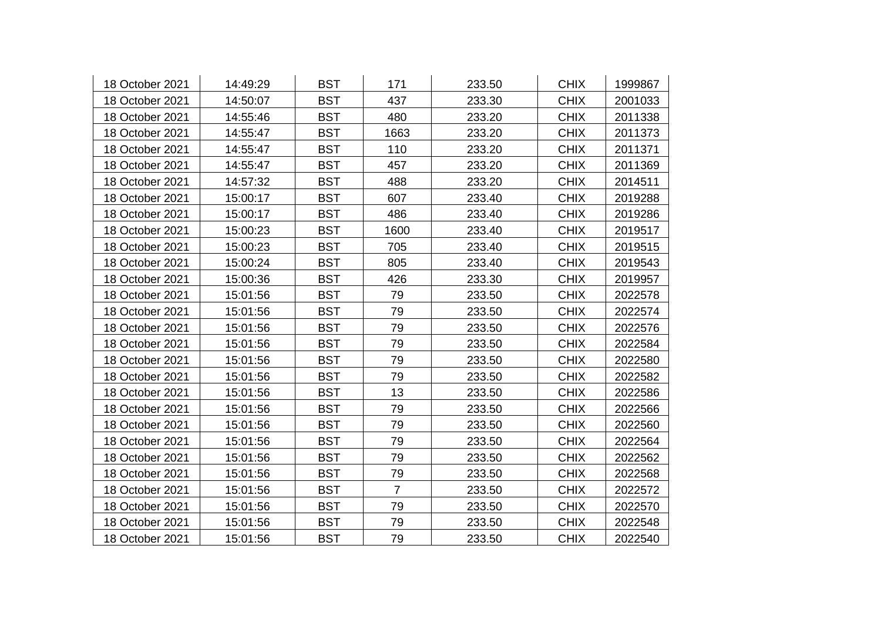| 18 October 2021 | 14:49:29 | <b>BST</b> | 171            | 233.50 | <b>CHIX</b> | 1999867 |
|-----------------|----------|------------|----------------|--------|-------------|---------|
| 18 October 2021 | 14:50:07 | <b>BST</b> | 437            | 233.30 | <b>CHIX</b> | 2001033 |
| 18 October 2021 | 14:55:46 | <b>BST</b> | 480            | 233.20 | <b>CHIX</b> | 2011338 |
| 18 October 2021 | 14:55:47 | <b>BST</b> | 1663           | 233.20 | <b>CHIX</b> | 2011373 |
| 18 October 2021 | 14:55:47 | <b>BST</b> | 110            | 233.20 | <b>CHIX</b> | 2011371 |
| 18 October 2021 | 14:55:47 | <b>BST</b> | 457            | 233.20 | <b>CHIX</b> | 2011369 |
| 18 October 2021 | 14:57:32 | <b>BST</b> | 488            | 233.20 | <b>CHIX</b> | 2014511 |
| 18 October 2021 | 15:00:17 | <b>BST</b> | 607            | 233.40 | <b>CHIX</b> | 2019288 |
| 18 October 2021 | 15:00:17 | <b>BST</b> | 486            | 233.40 | <b>CHIX</b> | 2019286 |
| 18 October 2021 | 15:00:23 | <b>BST</b> | 1600           | 233.40 | <b>CHIX</b> | 2019517 |
| 18 October 2021 | 15:00:23 | <b>BST</b> | 705            | 233.40 | <b>CHIX</b> | 2019515 |
| 18 October 2021 | 15:00:24 | <b>BST</b> | 805            | 233.40 | <b>CHIX</b> | 2019543 |
| 18 October 2021 | 15:00:36 | <b>BST</b> | 426            | 233.30 | <b>CHIX</b> | 2019957 |
| 18 October 2021 | 15:01:56 | <b>BST</b> | 79             | 233.50 | <b>CHIX</b> | 2022578 |
| 18 October 2021 | 15:01:56 | <b>BST</b> | 79             | 233.50 | <b>CHIX</b> | 2022574 |
| 18 October 2021 | 15:01:56 | <b>BST</b> | 79             | 233.50 | <b>CHIX</b> | 2022576 |
| 18 October 2021 | 15:01:56 | <b>BST</b> | 79             | 233.50 | <b>CHIX</b> | 2022584 |
| 18 October 2021 | 15:01:56 | <b>BST</b> | 79             | 233.50 | <b>CHIX</b> | 2022580 |
| 18 October 2021 | 15:01:56 | <b>BST</b> | 79             | 233.50 | <b>CHIX</b> | 2022582 |
| 18 October 2021 | 15:01:56 | <b>BST</b> | 13             | 233.50 | <b>CHIX</b> | 2022586 |
| 18 October 2021 | 15:01:56 | <b>BST</b> | 79             | 233.50 | <b>CHIX</b> | 2022566 |
| 18 October 2021 | 15:01:56 | <b>BST</b> | 79             | 233.50 | <b>CHIX</b> | 2022560 |
| 18 October 2021 | 15:01:56 | <b>BST</b> | 79             | 233.50 | <b>CHIX</b> | 2022564 |
| 18 October 2021 | 15:01:56 | <b>BST</b> | 79             | 233.50 | <b>CHIX</b> | 2022562 |
| 18 October 2021 | 15:01:56 | <b>BST</b> | 79             | 233.50 | <b>CHIX</b> | 2022568 |
| 18 October 2021 | 15:01:56 | <b>BST</b> | $\overline{7}$ | 233.50 | <b>CHIX</b> | 2022572 |
| 18 October 2021 | 15:01:56 | <b>BST</b> | 79             | 233.50 | <b>CHIX</b> | 2022570 |
| 18 October 2021 | 15:01:56 | <b>BST</b> | 79             | 233.50 | <b>CHIX</b> | 2022548 |
| 18 October 2021 | 15:01:56 | <b>BST</b> | 79             | 233.50 | <b>CHIX</b> | 2022540 |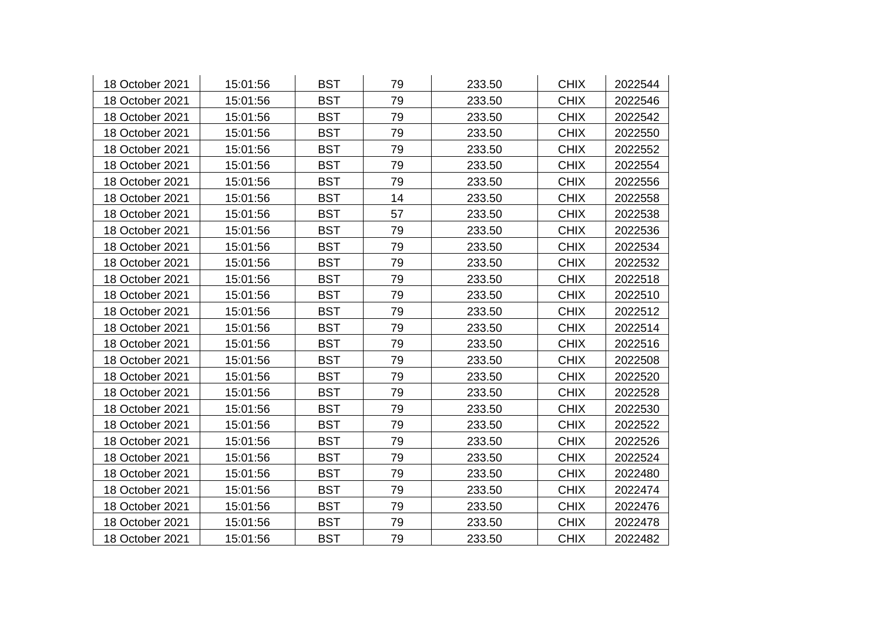| 18 October 2021 | 15:01:56 | <b>BST</b> | 79 | 233.50 | <b>CHIX</b> | 2022544 |
|-----------------|----------|------------|----|--------|-------------|---------|
| 18 October 2021 | 15:01:56 | <b>BST</b> | 79 | 233.50 | <b>CHIX</b> | 2022546 |
| 18 October 2021 | 15:01:56 | <b>BST</b> | 79 | 233.50 | <b>CHIX</b> | 2022542 |
| 18 October 2021 | 15:01:56 | <b>BST</b> | 79 | 233.50 | <b>CHIX</b> | 2022550 |
| 18 October 2021 | 15:01:56 | <b>BST</b> | 79 | 233.50 | <b>CHIX</b> | 2022552 |
| 18 October 2021 | 15:01:56 | <b>BST</b> | 79 | 233.50 | <b>CHIX</b> | 2022554 |
| 18 October 2021 | 15:01:56 | <b>BST</b> | 79 | 233.50 | <b>CHIX</b> | 2022556 |
| 18 October 2021 | 15:01:56 | <b>BST</b> | 14 | 233.50 | <b>CHIX</b> | 2022558 |
| 18 October 2021 | 15:01:56 | <b>BST</b> | 57 | 233.50 | <b>CHIX</b> | 2022538 |
| 18 October 2021 | 15:01:56 | <b>BST</b> | 79 | 233.50 | <b>CHIX</b> | 2022536 |
| 18 October 2021 | 15:01:56 | <b>BST</b> | 79 | 233.50 | <b>CHIX</b> | 2022534 |
| 18 October 2021 | 15:01:56 | <b>BST</b> | 79 | 233.50 | <b>CHIX</b> | 2022532 |
| 18 October 2021 | 15:01:56 | <b>BST</b> | 79 | 233.50 | <b>CHIX</b> | 2022518 |
| 18 October 2021 | 15:01:56 | <b>BST</b> | 79 | 233.50 | <b>CHIX</b> | 2022510 |
| 18 October 2021 | 15:01:56 | <b>BST</b> | 79 | 233.50 | <b>CHIX</b> | 2022512 |
| 18 October 2021 | 15:01:56 | <b>BST</b> | 79 | 233.50 | <b>CHIX</b> | 2022514 |
| 18 October 2021 | 15:01:56 | <b>BST</b> | 79 | 233.50 | <b>CHIX</b> | 2022516 |
| 18 October 2021 | 15:01:56 | <b>BST</b> | 79 | 233.50 | <b>CHIX</b> | 2022508 |
| 18 October 2021 | 15:01:56 | <b>BST</b> | 79 | 233.50 | <b>CHIX</b> | 2022520 |
| 18 October 2021 | 15:01:56 | <b>BST</b> | 79 | 233.50 | <b>CHIX</b> | 2022528 |
| 18 October 2021 | 15:01:56 | <b>BST</b> | 79 | 233.50 | <b>CHIX</b> | 2022530 |
| 18 October 2021 | 15:01:56 | <b>BST</b> | 79 | 233.50 | <b>CHIX</b> | 2022522 |
| 18 October 2021 | 15:01:56 | <b>BST</b> | 79 | 233.50 | <b>CHIX</b> | 2022526 |
| 18 October 2021 | 15:01:56 | <b>BST</b> | 79 | 233.50 | <b>CHIX</b> | 2022524 |
| 18 October 2021 | 15:01:56 | <b>BST</b> | 79 | 233.50 | <b>CHIX</b> | 2022480 |
| 18 October 2021 | 15:01:56 | <b>BST</b> | 79 | 233.50 | <b>CHIX</b> | 2022474 |
| 18 October 2021 | 15:01:56 | <b>BST</b> | 79 | 233.50 | <b>CHIX</b> | 2022476 |
| 18 October 2021 | 15:01:56 | <b>BST</b> | 79 | 233.50 | <b>CHIX</b> | 2022478 |
| 18 October 2021 | 15:01:56 | <b>BST</b> | 79 | 233.50 | <b>CHIX</b> | 2022482 |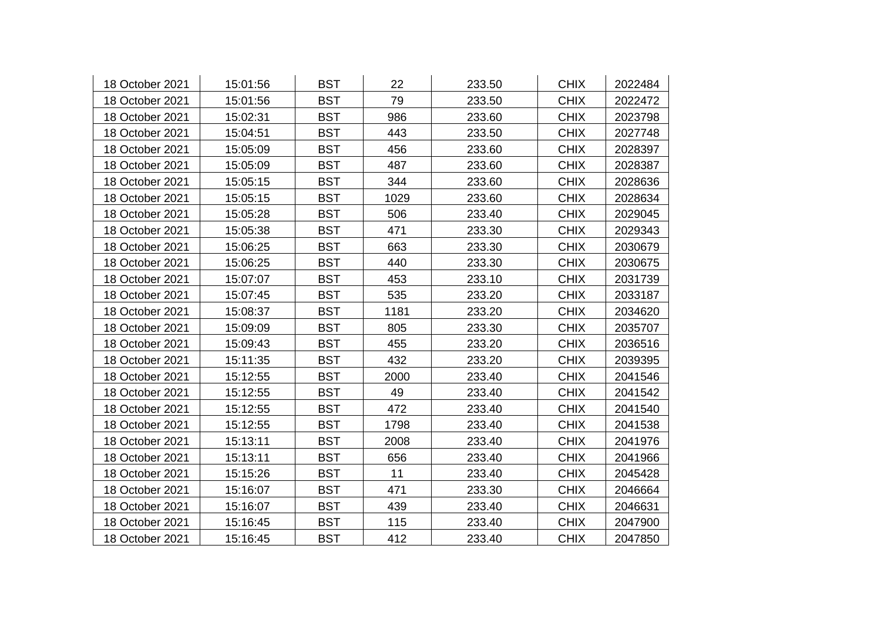| 18 October 2021 | 15:01:56 | <b>BST</b> | 22   | 233.50 | <b>CHIX</b> | 2022484 |
|-----------------|----------|------------|------|--------|-------------|---------|
| 18 October 2021 | 15:01:56 | <b>BST</b> | 79   | 233.50 | <b>CHIX</b> | 2022472 |
| 18 October 2021 | 15:02:31 | <b>BST</b> | 986  | 233.60 | <b>CHIX</b> | 2023798 |
| 18 October 2021 | 15:04:51 | <b>BST</b> | 443  | 233.50 | <b>CHIX</b> | 2027748 |
| 18 October 2021 | 15:05:09 | <b>BST</b> | 456  | 233.60 | <b>CHIX</b> | 2028397 |
| 18 October 2021 | 15:05:09 | <b>BST</b> | 487  | 233.60 | <b>CHIX</b> | 2028387 |
| 18 October 2021 | 15:05:15 | <b>BST</b> | 344  | 233.60 | <b>CHIX</b> | 2028636 |
| 18 October 2021 | 15:05:15 | <b>BST</b> | 1029 | 233.60 | <b>CHIX</b> | 2028634 |
| 18 October 2021 | 15:05:28 | <b>BST</b> | 506  | 233.40 | <b>CHIX</b> | 2029045 |
| 18 October 2021 | 15:05:38 | <b>BST</b> | 471  | 233.30 | <b>CHIX</b> | 2029343 |
| 18 October 2021 | 15:06:25 | <b>BST</b> | 663  | 233.30 | <b>CHIX</b> | 2030679 |
| 18 October 2021 | 15:06:25 | <b>BST</b> | 440  | 233.30 | <b>CHIX</b> | 2030675 |
| 18 October 2021 | 15:07:07 | <b>BST</b> | 453  | 233.10 | <b>CHIX</b> | 2031739 |
| 18 October 2021 | 15:07:45 | <b>BST</b> | 535  | 233.20 | <b>CHIX</b> | 2033187 |
| 18 October 2021 | 15:08:37 | <b>BST</b> | 1181 | 233.20 | <b>CHIX</b> | 2034620 |
| 18 October 2021 | 15:09:09 | <b>BST</b> | 805  | 233.30 | <b>CHIX</b> | 2035707 |
| 18 October 2021 | 15:09:43 | <b>BST</b> | 455  | 233.20 | <b>CHIX</b> | 2036516 |
| 18 October 2021 | 15:11:35 | <b>BST</b> | 432  | 233.20 | <b>CHIX</b> | 2039395 |
| 18 October 2021 | 15:12:55 | <b>BST</b> | 2000 | 233.40 | <b>CHIX</b> | 2041546 |
| 18 October 2021 | 15:12:55 | <b>BST</b> | 49   | 233.40 | <b>CHIX</b> | 2041542 |
| 18 October 2021 | 15:12:55 | <b>BST</b> | 472  | 233.40 | <b>CHIX</b> | 2041540 |
| 18 October 2021 | 15:12:55 | <b>BST</b> | 1798 | 233.40 | <b>CHIX</b> | 2041538 |
| 18 October 2021 | 15:13:11 | <b>BST</b> | 2008 | 233.40 | <b>CHIX</b> | 2041976 |
| 18 October 2021 | 15:13:11 | <b>BST</b> | 656  | 233.40 | <b>CHIX</b> | 2041966 |
| 18 October 2021 | 15:15:26 | <b>BST</b> | 11   | 233.40 | <b>CHIX</b> | 2045428 |
| 18 October 2021 | 15:16:07 | <b>BST</b> | 471  | 233.30 | <b>CHIX</b> | 2046664 |
| 18 October 2021 | 15:16:07 | <b>BST</b> | 439  | 233.40 | <b>CHIX</b> | 2046631 |
| 18 October 2021 | 15:16:45 | <b>BST</b> | 115  | 233.40 | <b>CHIX</b> | 2047900 |
| 18 October 2021 | 15:16:45 | <b>BST</b> | 412  | 233.40 | <b>CHIX</b> | 2047850 |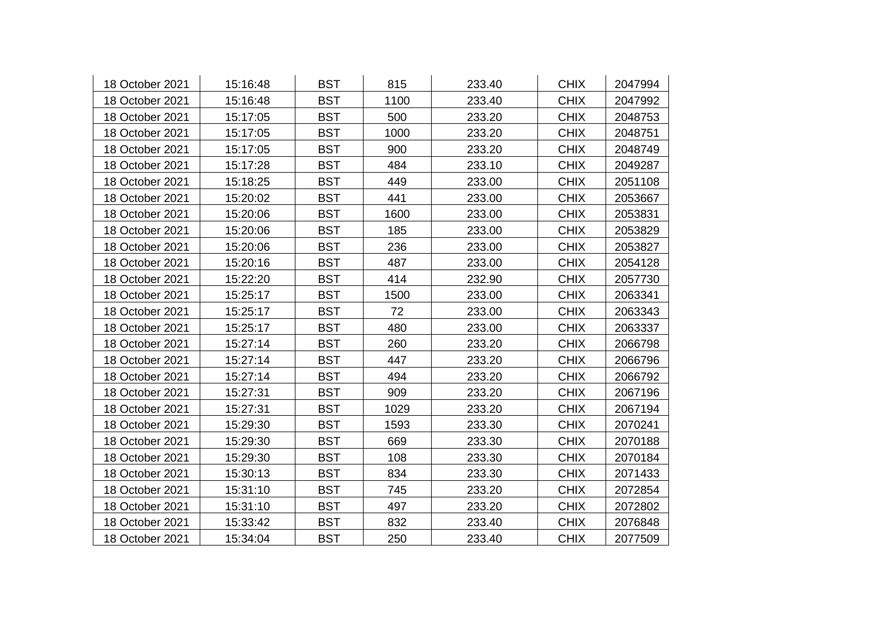| 18 October 2021 | 15:16:48 | <b>BST</b> | 815  | 233.40 | <b>CHIX</b> | 2047994 |
|-----------------|----------|------------|------|--------|-------------|---------|
| 18 October 2021 | 15:16:48 | <b>BST</b> | 1100 | 233.40 | <b>CHIX</b> | 2047992 |
| 18 October 2021 | 15:17:05 | <b>BST</b> | 500  | 233.20 | <b>CHIX</b> | 2048753 |
| 18 October 2021 | 15:17:05 | <b>BST</b> | 1000 | 233.20 | <b>CHIX</b> | 2048751 |
| 18 October 2021 | 15:17:05 | <b>BST</b> | 900  | 233.20 | <b>CHIX</b> | 2048749 |
| 18 October 2021 | 15:17:28 | <b>BST</b> | 484  | 233.10 | <b>CHIX</b> | 2049287 |
| 18 October 2021 | 15:18:25 | <b>BST</b> | 449  | 233.00 | <b>CHIX</b> | 2051108 |
| 18 October 2021 | 15:20:02 | <b>BST</b> | 441  | 233.00 | <b>CHIX</b> | 2053667 |
| 18 October 2021 | 15:20:06 | <b>BST</b> | 1600 | 233.00 | <b>CHIX</b> | 2053831 |
| 18 October 2021 | 15:20:06 | <b>BST</b> | 185  | 233.00 | <b>CHIX</b> | 2053829 |
| 18 October 2021 | 15:20:06 | <b>BST</b> | 236  | 233.00 | <b>CHIX</b> | 2053827 |
| 18 October 2021 | 15:20:16 | <b>BST</b> | 487  | 233.00 | <b>CHIX</b> | 2054128 |
| 18 October 2021 | 15:22:20 | <b>BST</b> | 414  | 232.90 | <b>CHIX</b> | 2057730 |
| 18 October 2021 | 15:25:17 | <b>BST</b> | 1500 | 233.00 | <b>CHIX</b> | 2063341 |
| 18 October 2021 | 15:25:17 | <b>BST</b> | 72   | 233.00 | <b>CHIX</b> | 2063343 |
| 18 October 2021 | 15:25:17 | <b>BST</b> | 480  | 233.00 | <b>CHIX</b> | 2063337 |
| 18 October 2021 | 15:27:14 | <b>BST</b> | 260  | 233.20 | <b>CHIX</b> | 2066798 |
| 18 October 2021 | 15:27:14 | <b>BST</b> | 447  | 233.20 | <b>CHIX</b> | 2066796 |
| 18 October 2021 | 15:27:14 | <b>BST</b> | 494  | 233.20 | <b>CHIX</b> | 2066792 |
| 18 October 2021 | 15:27:31 | <b>BST</b> | 909  | 233.20 | <b>CHIX</b> | 2067196 |
| 18 October 2021 | 15:27:31 | <b>BST</b> | 1029 | 233.20 | <b>CHIX</b> | 2067194 |
| 18 October 2021 | 15:29:30 | <b>BST</b> | 1593 | 233.30 | <b>CHIX</b> | 2070241 |
| 18 October 2021 | 15:29:30 | <b>BST</b> | 669  | 233.30 | <b>CHIX</b> | 2070188 |
| 18 October 2021 | 15:29:30 | <b>BST</b> | 108  | 233.30 | <b>CHIX</b> | 2070184 |
| 18 October 2021 | 15:30:13 | <b>BST</b> | 834  | 233.30 | <b>CHIX</b> | 2071433 |
| 18 October 2021 | 15:31:10 | <b>BST</b> | 745  | 233.20 | <b>CHIX</b> | 2072854 |
| 18 October 2021 | 15:31:10 | <b>BST</b> | 497  | 233.20 | <b>CHIX</b> | 2072802 |
| 18 October 2021 | 15:33:42 | <b>BST</b> | 832  | 233.40 | <b>CHIX</b> | 2076848 |
| 18 October 2021 | 15:34:04 | <b>BST</b> | 250  | 233.40 | <b>CHIX</b> | 2077509 |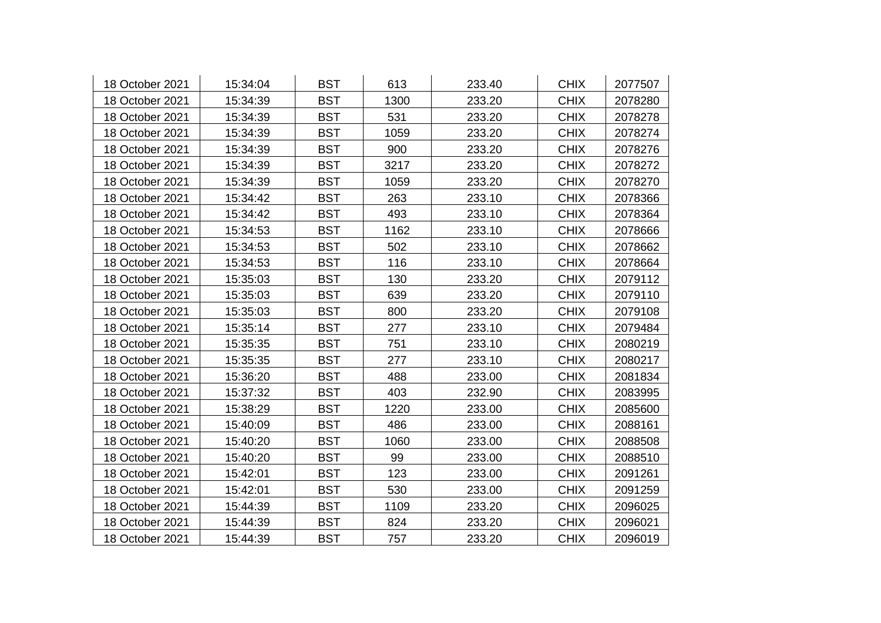| 18 October 2021 | 15:34:04 | <b>BST</b> | 613  | 233.40 | <b>CHIX</b> | 2077507 |
|-----------------|----------|------------|------|--------|-------------|---------|
| 18 October 2021 | 15:34:39 | <b>BST</b> | 1300 | 233.20 | <b>CHIX</b> | 2078280 |
| 18 October 2021 | 15:34:39 | <b>BST</b> | 531  | 233.20 | <b>CHIX</b> | 2078278 |
| 18 October 2021 | 15:34:39 | <b>BST</b> | 1059 | 233.20 | <b>CHIX</b> | 2078274 |
| 18 October 2021 | 15:34:39 | <b>BST</b> | 900  | 233.20 | <b>CHIX</b> | 2078276 |
| 18 October 2021 | 15:34:39 | <b>BST</b> | 3217 | 233.20 | <b>CHIX</b> | 2078272 |
| 18 October 2021 | 15:34:39 | <b>BST</b> | 1059 | 233.20 | <b>CHIX</b> | 2078270 |
| 18 October 2021 | 15:34:42 | <b>BST</b> | 263  | 233.10 | <b>CHIX</b> | 2078366 |
| 18 October 2021 | 15:34:42 | <b>BST</b> | 493  | 233.10 | <b>CHIX</b> | 2078364 |
| 18 October 2021 | 15:34:53 | <b>BST</b> | 1162 | 233.10 | <b>CHIX</b> | 2078666 |
| 18 October 2021 | 15:34:53 | <b>BST</b> | 502  | 233.10 | <b>CHIX</b> | 2078662 |
| 18 October 2021 | 15:34:53 | <b>BST</b> | 116  | 233.10 | <b>CHIX</b> | 2078664 |
| 18 October 2021 | 15:35:03 | <b>BST</b> | 130  | 233.20 | <b>CHIX</b> | 2079112 |
| 18 October 2021 | 15:35:03 | <b>BST</b> | 639  | 233.20 | <b>CHIX</b> | 2079110 |
| 18 October 2021 | 15:35:03 | <b>BST</b> | 800  | 233.20 | <b>CHIX</b> | 2079108 |
| 18 October 2021 | 15:35:14 | <b>BST</b> | 277  | 233.10 | <b>CHIX</b> | 2079484 |
| 18 October 2021 | 15:35:35 | <b>BST</b> | 751  | 233.10 | <b>CHIX</b> | 2080219 |
| 18 October 2021 | 15:35:35 | <b>BST</b> | 277  | 233.10 | <b>CHIX</b> | 2080217 |
| 18 October 2021 | 15:36:20 | <b>BST</b> | 488  | 233.00 | <b>CHIX</b> | 2081834 |
| 18 October 2021 | 15:37:32 | <b>BST</b> | 403  | 232.90 | <b>CHIX</b> | 2083995 |
| 18 October 2021 | 15:38:29 | <b>BST</b> | 1220 | 233.00 | <b>CHIX</b> | 2085600 |
| 18 October 2021 | 15:40:09 | <b>BST</b> | 486  | 233.00 | <b>CHIX</b> | 2088161 |
| 18 October 2021 | 15:40:20 | <b>BST</b> | 1060 | 233.00 | <b>CHIX</b> | 2088508 |
| 18 October 2021 | 15:40:20 | <b>BST</b> | 99   | 233.00 | <b>CHIX</b> | 2088510 |
| 18 October 2021 | 15:42:01 | <b>BST</b> | 123  | 233.00 | <b>CHIX</b> | 2091261 |
| 18 October 2021 | 15:42:01 | <b>BST</b> | 530  | 233.00 | <b>CHIX</b> | 2091259 |
| 18 October 2021 | 15:44:39 | <b>BST</b> | 1109 | 233.20 | <b>CHIX</b> | 2096025 |
| 18 October 2021 | 15:44:39 | <b>BST</b> | 824  | 233.20 | <b>CHIX</b> | 2096021 |
| 18 October 2021 | 15:44:39 | <b>BST</b> | 757  | 233.20 | <b>CHIX</b> | 2096019 |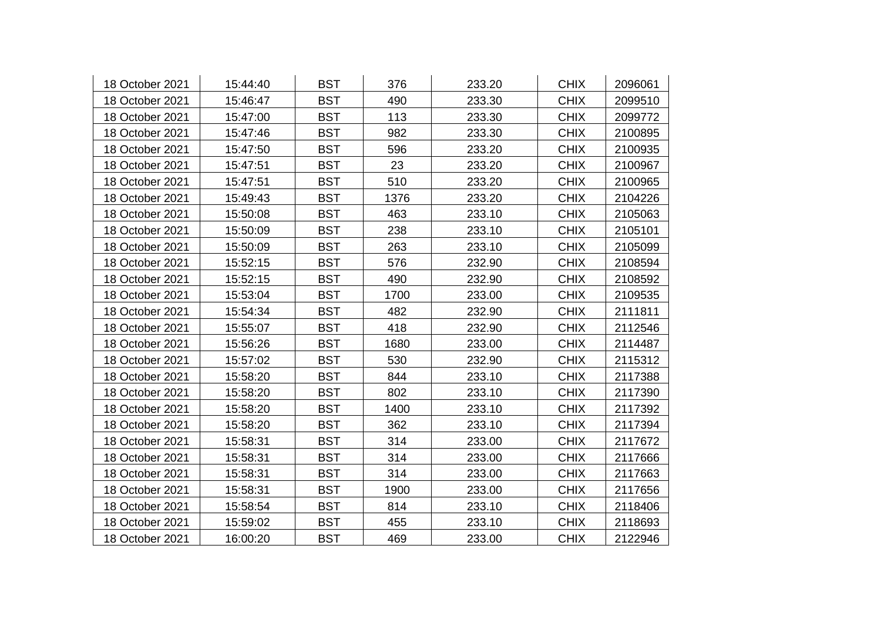| 18 October 2021 | 15:44:40 | <b>BST</b> | 376  | 233.20 | <b>CHIX</b> | 2096061 |
|-----------------|----------|------------|------|--------|-------------|---------|
| 18 October 2021 | 15:46:47 | <b>BST</b> | 490  | 233.30 | <b>CHIX</b> | 2099510 |
| 18 October 2021 | 15:47:00 | <b>BST</b> | 113  | 233.30 | <b>CHIX</b> | 2099772 |
| 18 October 2021 | 15:47:46 | <b>BST</b> | 982  | 233.30 | <b>CHIX</b> | 2100895 |
| 18 October 2021 | 15:47:50 | <b>BST</b> | 596  | 233.20 | <b>CHIX</b> | 2100935 |
| 18 October 2021 | 15:47:51 | <b>BST</b> | 23   | 233.20 | <b>CHIX</b> | 2100967 |
| 18 October 2021 | 15:47:51 | <b>BST</b> | 510  | 233.20 | <b>CHIX</b> | 2100965 |
| 18 October 2021 | 15:49:43 | <b>BST</b> | 1376 | 233.20 | <b>CHIX</b> | 2104226 |
| 18 October 2021 | 15:50:08 | <b>BST</b> | 463  | 233.10 | <b>CHIX</b> | 2105063 |
| 18 October 2021 | 15:50:09 | <b>BST</b> | 238  | 233.10 | <b>CHIX</b> | 2105101 |
| 18 October 2021 | 15:50:09 | <b>BST</b> | 263  | 233.10 | <b>CHIX</b> | 2105099 |
| 18 October 2021 | 15:52:15 | <b>BST</b> | 576  | 232.90 | <b>CHIX</b> | 2108594 |
| 18 October 2021 | 15:52:15 | <b>BST</b> | 490  | 232.90 | <b>CHIX</b> | 2108592 |
| 18 October 2021 | 15:53:04 | <b>BST</b> | 1700 | 233.00 | <b>CHIX</b> | 2109535 |
| 18 October 2021 | 15:54:34 | <b>BST</b> | 482  | 232.90 | <b>CHIX</b> | 2111811 |
| 18 October 2021 | 15:55:07 | <b>BST</b> | 418  | 232.90 | <b>CHIX</b> | 2112546 |
| 18 October 2021 | 15:56:26 | <b>BST</b> | 1680 | 233.00 | <b>CHIX</b> | 2114487 |
| 18 October 2021 | 15:57:02 | <b>BST</b> | 530  | 232.90 | <b>CHIX</b> | 2115312 |
| 18 October 2021 | 15:58:20 | <b>BST</b> | 844  | 233.10 | <b>CHIX</b> | 2117388 |
| 18 October 2021 | 15:58:20 | <b>BST</b> | 802  | 233.10 | <b>CHIX</b> | 2117390 |
| 18 October 2021 | 15:58:20 | <b>BST</b> | 1400 | 233.10 | <b>CHIX</b> | 2117392 |
| 18 October 2021 | 15:58:20 | <b>BST</b> | 362  | 233.10 | <b>CHIX</b> | 2117394 |
| 18 October 2021 | 15:58:31 | <b>BST</b> | 314  | 233.00 | <b>CHIX</b> | 2117672 |
| 18 October 2021 | 15:58:31 | <b>BST</b> | 314  | 233.00 | <b>CHIX</b> | 2117666 |
| 18 October 2021 | 15:58:31 | <b>BST</b> | 314  | 233.00 | <b>CHIX</b> | 2117663 |
| 18 October 2021 | 15:58:31 | <b>BST</b> | 1900 | 233.00 | <b>CHIX</b> | 2117656 |
| 18 October 2021 | 15:58:54 | <b>BST</b> | 814  | 233.10 | <b>CHIX</b> | 2118406 |
| 18 October 2021 | 15:59:02 | <b>BST</b> | 455  | 233.10 | <b>CHIX</b> | 2118693 |
| 18 October 2021 | 16:00:20 | <b>BST</b> | 469  | 233.00 | <b>CHIX</b> | 2122946 |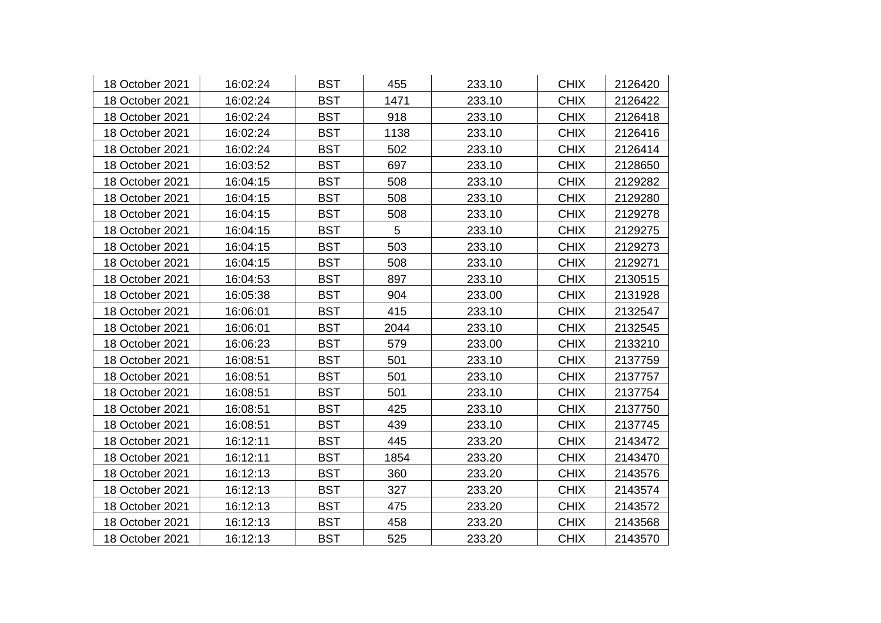| 18 October 2021 | 16:02:24 | <b>BST</b> | 455  | 233.10 | <b>CHIX</b> | 2126420 |
|-----------------|----------|------------|------|--------|-------------|---------|
| 18 October 2021 | 16:02:24 | <b>BST</b> | 1471 | 233.10 | <b>CHIX</b> | 2126422 |
| 18 October 2021 | 16:02:24 | <b>BST</b> | 918  | 233.10 | <b>CHIX</b> | 2126418 |
| 18 October 2021 | 16:02:24 | <b>BST</b> | 1138 | 233.10 | <b>CHIX</b> | 2126416 |
| 18 October 2021 | 16:02:24 | <b>BST</b> | 502  | 233.10 | <b>CHIX</b> | 2126414 |
| 18 October 2021 | 16:03:52 | <b>BST</b> | 697  | 233.10 | <b>CHIX</b> | 2128650 |
| 18 October 2021 | 16:04:15 | <b>BST</b> | 508  | 233.10 | <b>CHIX</b> | 2129282 |
| 18 October 2021 | 16:04:15 | <b>BST</b> | 508  | 233.10 | <b>CHIX</b> | 2129280 |
| 18 October 2021 | 16:04:15 | <b>BST</b> | 508  | 233.10 | <b>CHIX</b> | 2129278 |
| 18 October 2021 | 16:04:15 | <b>BST</b> | 5    | 233.10 | <b>CHIX</b> | 2129275 |
| 18 October 2021 | 16:04:15 | <b>BST</b> | 503  | 233.10 | <b>CHIX</b> | 2129273 |
| 18 October 2021 | 16:04:15 | <b>BST</b> | 508  | 233.10 | <b>CHIX</b> | 2129271 |
| 18 October 2021 | 16:04:53 | <b>BST</b> | 897  | 233.10 | <b>CHIX</b> | 2130515 |
| 18 October 2021 | 16:05:38 | <b>BST</b> | 904  | 233.00 | <b>CHIX</b> | 2131928 |
| 18 October 2021 | 16:06:01 | <b>BST</b> | 415  | 233.10 | <b>CHIX</b> | 2132547 |
| 18 October 2021 | 16:06:01 | <b>BST</b> | 2044 | 233.10 | <b>CHIX</b> | 2132545 |
| 18 October 2021 | 16:06:23 | <b>BST</b> | 579  | 233.00 | <b>CHIX</b> | 2133210 |
| 18 October 2021 | 16:08:51 | <b>BST</b> | 501  | 233.10 | <b>CHIX</b> | 2137759 |
| 18 October 2021 | 16:08:51 | <b>BST</b> | 501  | 233.10 | <b>CHIX</b> | 2137757 |
| 18 October 2021 | 16:08:51 | <b>BST</b> | 501  | 233.10 | <b>CHIX</b> | 2137754 |
| 18 October 2021 | 16:08:51 | <b>BST</b> | 425  | 233.10 | <b>CHIX</b> | 2137750 |
| 18 October 2021 | 16:08:51 | <b>BST</b> | 439  | 233.10 | <b>CHIX</b> | 2137745 |
| 18 October 2021 | 16:12:11 | <b>BST</b> | 445  | 233.20 | <b>CHIX</b> | 2143472 |
| 18 October 2021 | 16:12:11 | <b>BST</b> | 1854 | 233.20 | <b>CHIX</b> | 2143470 |
| 18 October 2021 | 16:12:13 | <b>BST</b> | 360  | 233.20 | <b>CHIX</b> | 2143576 |
| 18 October 2021 | 16:12:13 | <b>BST</b> | 327  | 233.20 | <b>CHIX</b> | 2143574 |
| 18 October 2021 | 16:12:13 | <b>BST</b> | 475  | 233.20 | <b>CHIX</b> | 2143572 |
| 18 October 2021 | 16:12:13 | <b>BST</b> | 458  | 233.20 | <b>CHIX</b> | 2143568 |
| 18 October 2021 | 16:12:13 | <b>BST</b> | 525  | 233.20 | <b>CHIX</b> | 2143570 |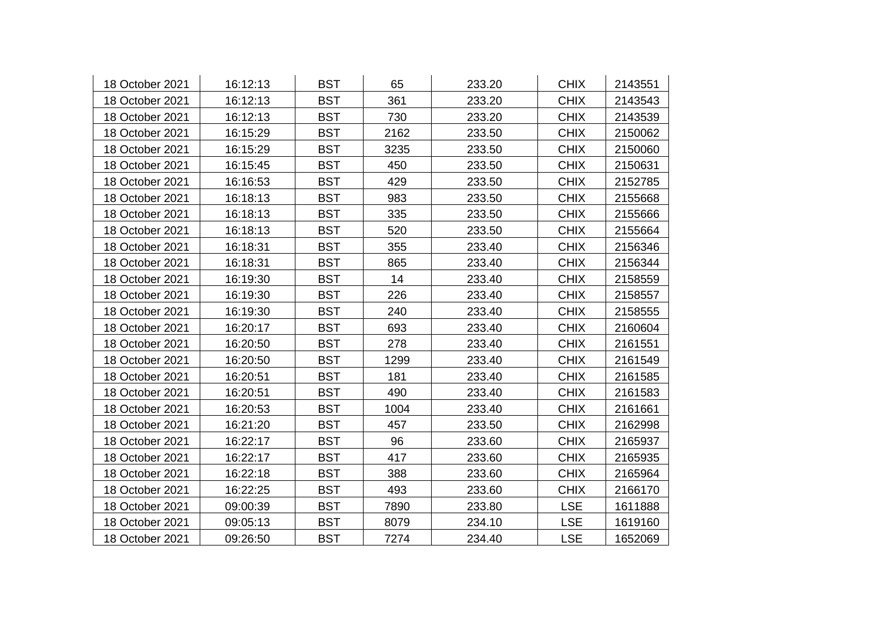| 18 October 2021 | 16:12:13 | <b>BST</b> | 65   | 233.20 | <b>CHIX</b> | 2143551 |
|-----------------|----------|------------|------|--------|-------------|---------|
| 18 October 2021 | 16:12:13 | <b>BST</b> | 361  | 233.20 | <b>CHIX</b> | 2143543 |
| 18 October 2021 | 16:12:13 | <b>BST</b> | 730  | 233.20 | <b>CHIX</b> | 2143539 |
| 18 October 2021 | 16:15:29 | <b>BST</b> | 2162 | 233.50 | <b>CHIX</b> | 2150062 |
| 18 October 2021 | 16:15:29 | <b>BST</b> | 3235 | 233.50 | <b>CHIX</b> | 2150060 |
| 18 October 2021 | 16:15:45 | <b>BST</b> | 450  | 233.50 | <b>CHIX</b> | 2150631 |
| 18 October 2021 | 16:16:53 | <b>BST</b> | 429  | 233.50 | <b>CHIX</b> | 2152785 |
| 18 October 2021 | 16:18:13 | <b>BST</b> | 983  | 233.50 | <b>CHIX</b> | 2155668 |
| 18 October 2021 | 16:18:13 | <b>BST</b> | 335  | 233.50 | <b>CHIX</b> | 2155666 |
| 18 October 2021 | 16:18:13 | <b>BST</b> | 520  | 233.50 | <b>CHIX</b> | 2155664 |
| 18 October 2021 | 16:18:31 | <b>BST</b> | 355  | 233.40 | <b>CHIX</b> | 2156346 |
| 18 October 2021 | 16:18:31 | <b>BST</b> | 865  | 233.40 | <b>CHIX</b> | 2156344 |
| 18 October 2021 | 16:19:30 | <b>BST</b> | 14   | 233.40 | <b>CHIX</b> | 2158559 |
| 18 October 2021 | 16:19:30 | <b>BST</b> | 226  | 233.40 | <b>CHIX</b> | 2158557 |
| 18 October 2021 | 16:19:30 | <b>BST</b> | 240  | 233.40 | <b>CHIX</b> | 2158555 |
| 18 October 2021 | 16:20:17 | <b>BST</b> | 693  | 233.40 | <b>CHIX</b> | 2160604 |
| 18 October 2021 | 16:20:50 | <b>BST</b> | 278  | 233.40 | <b>CHIX</b> | 2161551 |
| 18 October 2021 | 16:20:50 | <b>BST</b> | 1299 | 233.40 | <b>CHIX</b> | 2161549 |
| 18 October 2021 | 16:20:51 | <b>BST</b> | 181  | 233.40 | <b>CHIX</b> | 2161585 |
| 18 October 2021 | 16:20:51 | <b>BST</b> | 490  | 233.40 | <b>CHIX</b> | 2161583 |
| 18 October 2021 | 16:20:53 | <b>BST</b> | 1004 | 233.40 | <b>CHIX</b> | 2161661 |
| 18 October 2021 | 16:21:20 | <b>BST</b> | 457  | 233.50 | <b>CHIX</b> | 2162998 |
| 18 October 2021 | 16:22:17 | <b>BST</b> | 96   | 233.60 | <b>CHIX</b> | 2165937 |
| 18 October 2021 | 16:22:17 | <b>BST</b> | 417  | 233.60 | <b>CHIX</b> | 2165935 |
| 18 October 2021 | 16:22:18 | <b>BST</b> | 388  | 233.60 | <b>CHIX</b> | 2165964 |
| 18 October 2021 | 16:22:25 | <b>BST</b> | 493  | 233.60 | <b>CHIX</b> | 2166170 |
| 18 October 2021 | 09:00:39 | <b>BST</b> | 7890 | 233.80 | <b>LSE</b>  | 1611888 |
| 18 October 2021 | 09:05:13 | <b>BST</b> | 8079 | 234.10 | <b>LSE</b>  | 1619160 |
| 18 October 2021 | 09:26:50 | <b>BST</b> | 7274 | 234.40 | <b>LSE</b>  | 1652069 |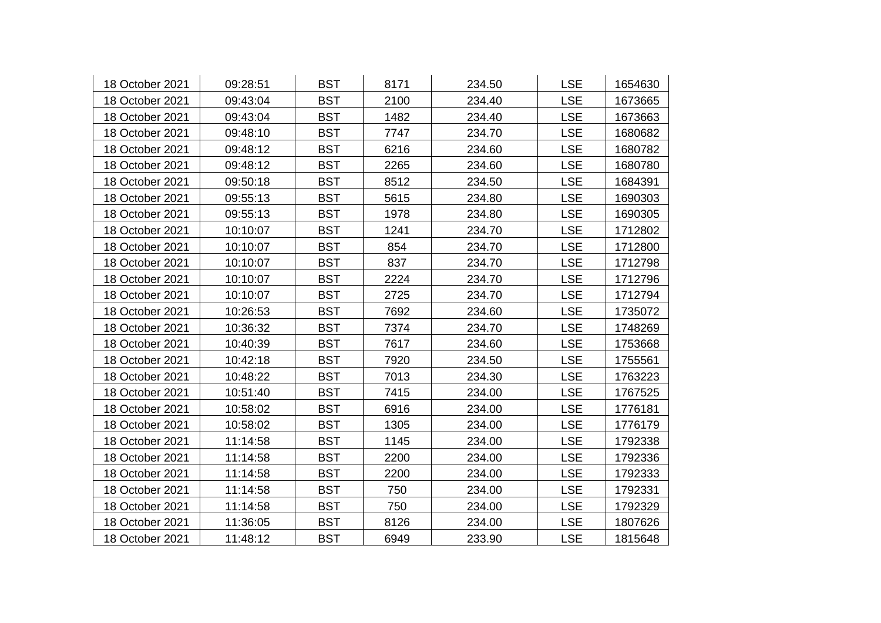| 18 October 2021 | 09:28:51 | <b>BST</b> | 8171 | 234.50 | <b>LSE</b> | 1654630 |
|-----------------|----------|------------|------|--------|------------|---------|
| 18 October 2021 | 09:43:04 | <b>BST</b> | 2100 | 234.40 | <b>LSE</b> | 1673665 |
| 18 October 2021 | 09:43:04 | <b>BST</b> | 1482 | 234.40 | <b>LSE</b> | 1673663 |
| 18 October 2021 | 09:48:10 | <b>BST</b> | 7747 | 234.70 | <b>LSE</b> | 1680682 |
| 18 October 2021 | 09:48:12 | <b>BST</b> | 6216 | 234.60 | <b>LSE</b> | 1680782 |
| 18 October 2021 | 09:48:12 | <b>BST</b> | 2265 | 234.60 | <b>LSE</b> | 1680780 |
| 18 October 2021 | 09:50:18 | <b>BST</b> | 8512 | 234.50 | <b>LSE</b> | 1684391 |
| 18 October 2021 | 09:55:13 | <b>BST</b> | 5615 | 234.80 | <b>LSE</b> | 1690303 |
| 18 October 2021 | 09:55:13 | <b>BST</b> | 1978 | 234.80 | <b>LSE</b> | 1690305 |
| 18 October 2021 | 10:10:07 | <b>BST</b> | 1241 | 234.70 | <b>LSE</b> | 1712802 |
| 18 October 2021 | 10:10:07 | <b>BST</b> | 854  | 234.70 | <b>LSE</b> | 1712800 |
| 18 October 2021 | 10:10:07 | <b>BST</b> | 837  | 234.70 | <b>LSE</b> | 1712798 |
| 18 October 2021 | 10:10:07 | <b>BST</b> | 2224 | 234.70 | <b>LSE</b> | 1712796 |
| 18 October 2021 | 10:10:07 | <b>BST</b> | 2725 | 234.70 | <b>LSE</b> | 1712794 |
| 18 October 2021 | 10:26:53 | <b>BST</b> | 7692 | 234.60 | <b>LSE</b> | 1735072 |
| 18 October 2021 | 10:36:32 | <b>BST</b> | 7374 | 234.70 | <b>LSE</b> | 1748269 |
| 18 October 2021 | 10:40:39 | <b>BST</b> | 7617 | 234.60 | <b>LSE</b> | 1753668 |
| 18 October 2021 | 10:42:18 | <b>BST</b> | 7920 | 234.50 | <b>LSE</b> | 1755561 |
| 18 October 2021 | 10:48:22 | <b>BST</b> | 7013 | 234.30 | <b>LSE</b> | 1763223 |
| 18 October 2021 | 10:51:40 | <b>BST</b> | 7415 | 234.00 | <b>LSE</b> | 1767525 |
| 18 October 2021 | 10:58:02 | <b>BST</b> | 6916 | 234.00 | <b>LSE</b> | 1776181 |
| 18 October 2021 | 10:58:02 | <b>BST</b> | 1305 | 234.00 | <b>LSE</b> | 1776179 |
| 18 October 2021 | 11:14:58 | <b>BST</b> | 1145 | 234.00 | <b>LSE</b> | 1792338 |
| 18 October 2021 | 11:14:58 | <b>BST</b> | 2200 | 234.00 | <b>LSE</b> | 1792336 |
| 18 October 2021 | 11:14:58 | <b>BST</b> | 2200 | 234.00 | <b>LSE</b> | 1792333 |
| 18 October 2021 | 11:14:58 | <b>BST</b> | 750  | 234.00 | <b>LSE</b> | 1792331 |
| 18 October 2021 | 11:14:58 | <b>BST</b> | 750  | 234.00 | <b>LSE</b> | 1792329 |
| 18 October 2021 | 11:36:05 | <b>BST</b> | 8126 | 234.00 | <b>LSE</b> | 1807626 |
| 18 October 2021 | 11:48:12 | <b>BST</b> | 6949 | 233.90 | <b>LSE</b> | 1815648 |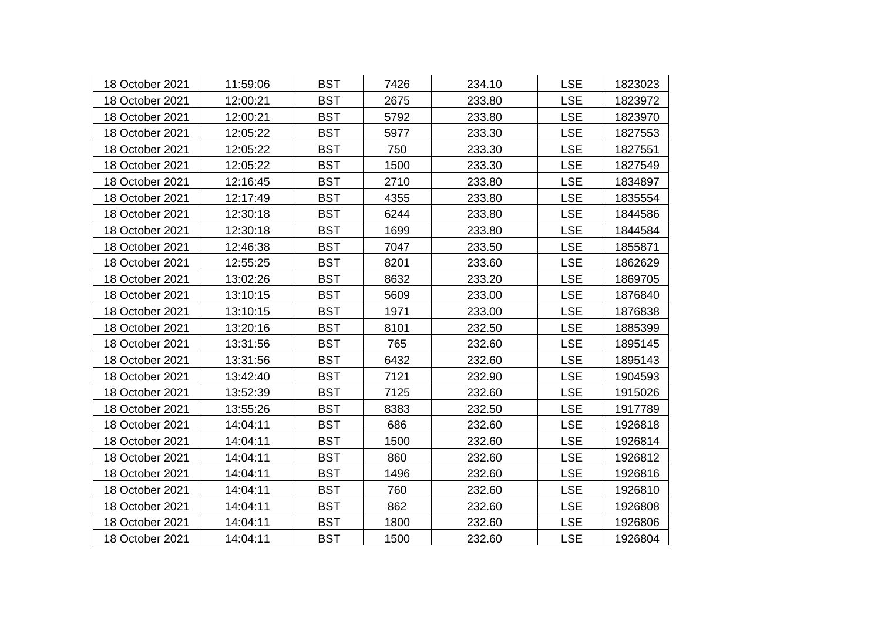| 18 October 2021 | 11:59:06 | <b>BST</b> | 7426 | 234.10 | <b>LSE</b> | 1823023 |
|-----------------|----------|------------|------|--------|------------|---------|
| 18 October 2021 | 12:00:21 | <b>BST</b> | 2675 | 233.80 | <b>LSE</b> | 1823972 |
| 18 October 2021 | 12:00:21 | <b>BST</b> | 5792 | 233.80 | <b>LSE</b> | 1823970 |
| 18 October 2021 | 12:05:22 | <b>BST</b> | 5977 | 233.30 | <b>LSE</b> | 1827553 |
| 18 October 2021 | 12:05:22 | <b>BST</b> | 750  | 233.30 | <b>LSE</b> | 1827551 |
| 18 October 2021 | 12:05:22 | <b>BST</b> | 1500 | 233.30 | <b>LSE</b> | 1827549 |
| 18 October 2021 | 12:16:45 | <b>BST</b> | 2710 | 233.80 | <b>LSE</b> | 1834897 |
| 18 October 2021 | 12:17:49 | <b>BST</b> | 4355 | 233.80 | <b>LSE</b> | 1835554 |
| 18 October 2021 | 12:30:18 | <b>BST</b> | 6244 | 233.80 | <b>LSE</b> | 1844586 |
| 18 October 2021 | 12:30:18 | <b>BST</b> | 1699 | 233.80 | <b>LSE</b> | 1844584 |
| 18 October 2021 | 12:46:38 | <b>BST</b> | 7047 | 233.50 | <b>LSE</b> | 1855871 |
| 18 October 2021 | 12:55:25 | <b>BST</b> | 8201 | 233.60 | <b>LSE</b> | 1862629 |
| 18 October 2021 | 13:02:26 | <b>BST</b> | 8632 | 233.20 | <b>LSE</b> | 1869705 |
| 18 October 2021 | 13:10:15 | <b>BST</b> | 5609 | 233.00 | <b>LSE</b> | 1876840 |
| 18 October 2021 | 13:10:15 | <b>BST</b> | 1971 | 233.00 | <b>LSE</b> | 1876838 |
| 18 October 2021 | 13:20:16 | <b>BST</b> | 8101 | 232.50 | <b>LSE</b> | 1885399 |
| 18 October 2021 | 13:31:56 | <b>BST</b> | 765  | 232.60 | <b>LSE</b> | 1895145 |
| 18 October 2021 | 13:31:56 | <b>BST</b> | 6432 | 232.60 | <b>LSE</b> | 1895143 |
| 18 October 2021 | 13:42:40 | <b>BST</b> | 7121 | 232.90 | <b>LSE</b> | 1904593 |
| 18 October 2021 | 13:52:39 | <b>BST</b> | 7125 | 232.60 | <b>LSE</b> | 1915026 |
| 18 October 2021 | 13:55:26 | <b>BST</b> | 8383 | 232.50 | <b>LSE</b> | 1917789 |
| 18 October 2021 | 14:04:11 | <b>BST</b> | 686  | 232.60 | <b>LSE</b> | 1926818 |
| 18 October 2021 | 14:04:11 | <b>BST</b> | 1500 | 232.60 | <b>LSE</b> | 1926814 |
| 18 October 2021 | 14:04:11 | <b>BST</b> | 860  | 232.60 | <b>LSE</b> | 1926812 |
| 18 October 2021 | 14:04:11 | <b>BST</b> | 1496 | 232.60 | <b>LSE</b> | 1926816 |
| 18 October 2021 | 14:04:11 | <b>BST</b> | 760  | 232.60 | <b>LSE</b> | 1926810 |
| 18 October 2021 | 14:04:11 | <b>BST</b> | 862  | 232.60 | <b>LSE</b> | 1926808 |
| 18 October 2021 | 14:04:11 | <b>BST</b> | 1800 | 232.60 | <b>LSE</b> | 1926806 |
| 18 October 2021 | 14:04:11 | <b>BST</b> | 1500 | 232.60 | <b>LSE</b> | 1926804 |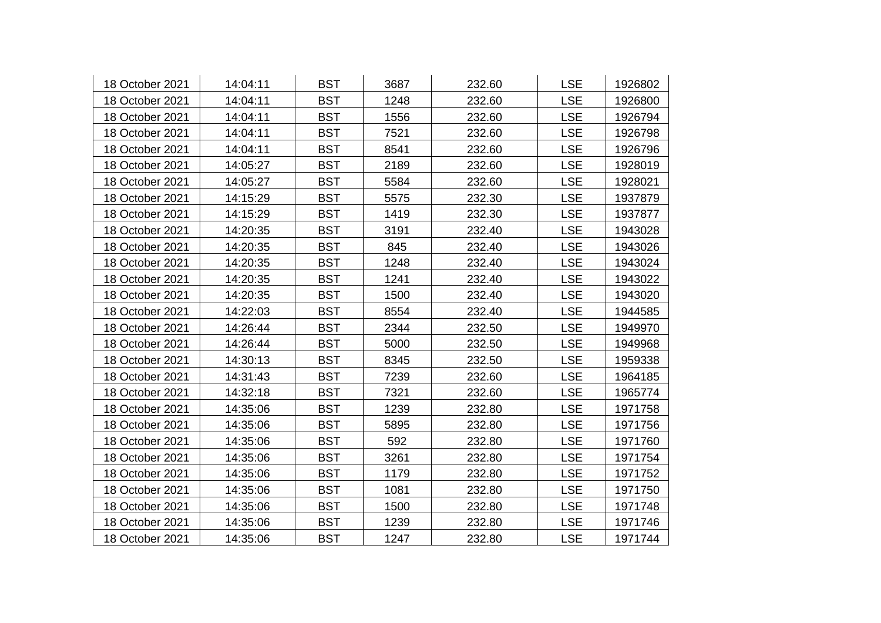| 18 October 2021 | 14:04:11 | <b>BST</b> | 3687 | 232.60 | <b>LSE</b> | 1926802 |
|-----------------|----------|------------|------|--------|------------|---------|
| 18 October 2021 | 14:04:11 | <b>BST</b> | 1248 | 232.60 | <b>LSE</b> | 1926800 |
| 18 October 2021 | 14:04:11 | <b>BST</b> | 1556 | 232.60 | <b>LSE</b> | 1926794 |
| 18 October 2021 | 14:04:11 | <b>BST</b> | 7521 | 232.60 | <b>LSE</b> | 1926798 |
| 18 October 2021 | 14:04:11 | <b>BST</b> | 8541 | 232.60 | <b>LSE</b> | 1926796 |
| 18 October 2021 | 14:05:27 | <b>BST</b> | 2189 | 232.60 | <b>LSE</b> | 1928019 |
| 18 October 2021 | 14:05:27 | <b>BST</b> | 5584 | 232.60 | <b>LSE</b> | 1928021 |
| 18 October 2021 | 14:15:29 | <b>BST</b> | 5575 | 232.30 | <b>LSE</b> | 1937879 |
| 18 October 2021 | 14:15:29 | <b>BST</b> | 1419 | 232.30 | <b>LSE</b> | 1937877 |
| 18 October 2021 | 14:20:35 | <b>BST</b> | 3191 | 232.40 | <b>LSE</b> | 1943028 |
| 18 October 2021 | 14:20:35 | <b>BST</b> | 845  | 232.40 | <b>LSE</b> | 1943026 |
| 18 October 2021 | 14:20:35 | <b>BST</b> | 1248 | 232.40 | <b>LSE</b> | 1943024 |
| 18 October 2021 | 14:20:35 | <b>BST</b> | 1241 | 232.40 | <b>LSE</b> | 1943022 |
| 18 October 2021 | 14:20:35 | <b>BST</b> | 1500 | 232.40 | <b>LSE</b> | 1943020 |
| 18 October 2021 | 14:22:03 | <b>BST</b> | 8554 | 232.40 | <b>LSE</b> | 1944585 |
| 18 October 2021 | 14:26:44 | <b>BST</b> | 2344 | 232.50 | <b>LSE</b> | 1949970 |
| 18 October 2021 | 14:26:44 | <b>BST</b> | 5000 | 232.50 | <b>LSE</b> | 1949968 |
| 18 October 2021 | 14:30:13 | <b>BST</b> | 8345 | 232.50 | <b>LSE</b> | 1959338 |
| 18 October 2021 | 14:31:43 | <b>BST</b> | 7239 | 232.60 | <b>LSE</b> | 1964185 |
| 18 October 2021 | 14:32:18 | <b>BST</b> | 7321 | 232.60 | <b>LSE</b> | 1965774 |
| 18 October 2021 | 14:35:06 | <b>BST</b> | 1239 | 232.80 | <b>LSE</b> | 1971758 |
| 18 October 2021 | 14:35:06 | <b>BST</b> | 5895 | 232.80 | <b>LSE</b> | 1971756 |
| 18 October 2021 | 14:35:06 | <b>BST</b> | 592  | 232.80 | <b>LSE</b> | 1971760 |
| 18 October 2021 | 14:35:06 | <b>BST</b> | 3261 | 232.80 | <b>LSE</b> | 1971754 |
| 18 October 2021 | 14:35:06 | <b>BST</b> | 1179 | 232.80 | <b>LSE</b> | 1971752 |
| 18 October 2021 | 14:35:06 | <b>BST</b> | 1081 | 232.80 | <b>LSE</b> | 1971750 |
| 18 October 2021 | 14:35:06 | <b>BST</b> | 1500 | 232.80 | <b>LSE</b> | 1971748 |
| 18 October 2021 | 14:35:06 | <b>BST</b> | 1239 | 232.80 | <b>LSE</b> | 1971746 |
| 18 October 2021 | 14:35:06 | <b>BST</b> | 1247 | 232.80 | <b>LSE</b> | 1971744 |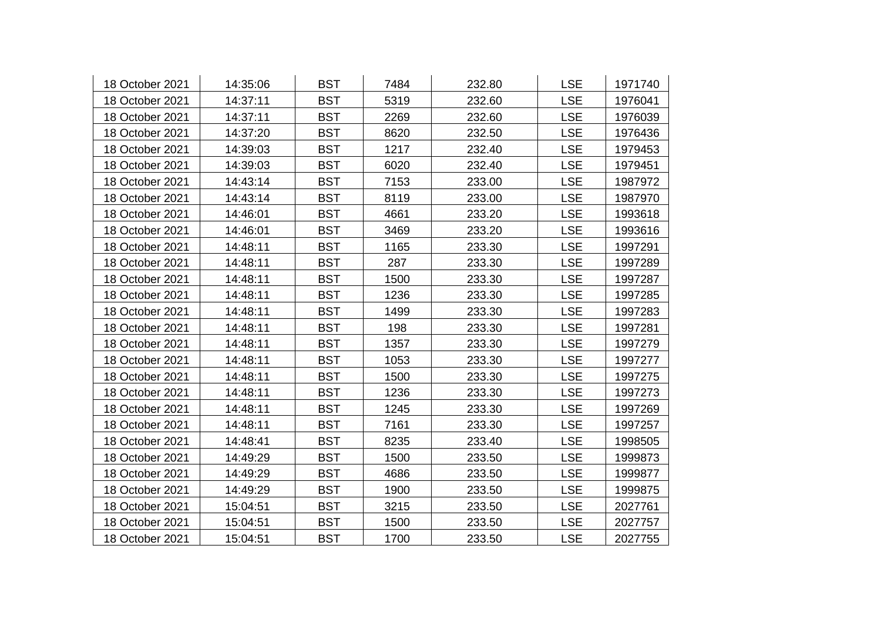| 18 October 2021 | 14:35:06 | <b>BST</b> | 7484 | 232.80 | <b>LSE</b> | 1971740 |
|-----------------|----------|------------|------|--------|------------|---------|
| 18 October 2021 | 14:37:11 | <b>BST</b> | 5319 | 232.60 | <b>LSE</b> | 1976041 |
| 18 October 2021 | 14:37:11 | <b>BST</b> | 2269 | 232.60 | <b>LSE</b> | 1976039 |
| 18 October 2021 | 14:37:20 | <b>BST</b> | 8620 | 232.50 | <b>LSE</b> | 1976436 |
| 18 October 2021 | 14:39:03 | <b>BST</b> | 1217 | 232.40 | <b>LSE</b> | 1979453 |
| 18 October 2021 | 14:39:03 | <b>BST</b> | 6020 | 232.40 | <b>LSE</b> | 1979451 |
| 18 October 2021 | 14:43:14 | <b>BST</b> | 7153 | 233.00 | <b>LSE</b> | 1987972 |
| 18 October 2021 | 14:43:14 | <b>BST</b> | 8119 | 233.00 | <b>LSE</b> | 1987970 |
| 18 October 2021 | 14:46:01 | <b>BST</b> | 4661 | 233.20 | <b>LSE</b> | 1993618 |
| 18 October 2021 | 14:46:01 | <b>BST</b> | 3469 | 233.20 | <b>LSE</b> | 1993616 |
| 18 October 2021 | 14:48:11 | <b>BST</b> | 1165 | 233.30 | <b>LSE</b> | 1997291 |
| 18 October 2021 | 14:48:11 | <b>BST</b> | 287  | 233.30 | <b>LSE</b> | 1997289 |
| 18 October 2021 | 14:48:11 | <b>BST</b> | 1500 | 233.30 | <b>LSE</b> | 1997287 |
| 18 October 2021 | 14:48:11 | <b>BST</b> | 1236 | 233.30 | <b>LSE</b> | 1997285 |
| 18 October 2021 | 14:48:11 | <b>BST</b> | 1499 | 233.30 | <b>LSE</b> | 1997283 |
| 18 October 2021 | 14:48:11 | <b>BST</b> | 198  | 233.30 | <b>LSE</b> | 1997281 |
| 18 October 2021 | 14:48:11 | <b>BST</b> | 1357 | 233.30 | <b>LSE</b> | 1997279 |
| 18 October 2021 | 14:48:11 | <b>BST</b> | 1053 | 233.30 | <b>LSE</b> | 1997277 |
| 18 October 2021 | 14:48:11 | <b>BST</b> | 1500 | 233.30 | <b>LSE</b> | 1997275 |
| 18 October 2021 | 14:48:11 | <b>BST</b> | 1236 | 233.30 | <b>LSE</b> | 1997273 |
| 18 October 2021 | 14:48:11 | <b>BST</b> | 1245 | 233.30 | <b>LSE</b> | 1997269 |
| 18 October 2021 | 14:48:11 | <b>BST</b> | 7161 | 233.30 | <b>LSE</b> | 1997257 |
| 18 October 2021 | 14:48:41 | <b>BST</b> | 8235 | 233.40 | <b>LSE</b> | 1998505 |
| 18 October 2021 | 14:49:29 | <b>BST</b> | 1500 | 233.50 | <b>LSE</b> | 1999873 |
| 18 October 2021 | 14:49:29 | <b>BST</b> | 4686 | 233.50 | <b>LSE</b> | 1999877 |
| 18 October 2021 | 14:49:29 | <b>BST</b> | 1900 | 233.50 | <b>LSE</b> | 1999875 |
| 18 October 2021 | 15:04:51 | <b>BST</b> | 3215 | 233.50 | <b>LSE</b> | 2027761 |
| 18 October 2021 | 15:04:51 | <b>BST</b> | 1500 | 233.50 | <b>LSE</b> | 2027757 |
| 18 October 2021 | 15:04:51 | <b>BST</b> | 1700 | 233.50 | <b>LSE</b> | 2027755 |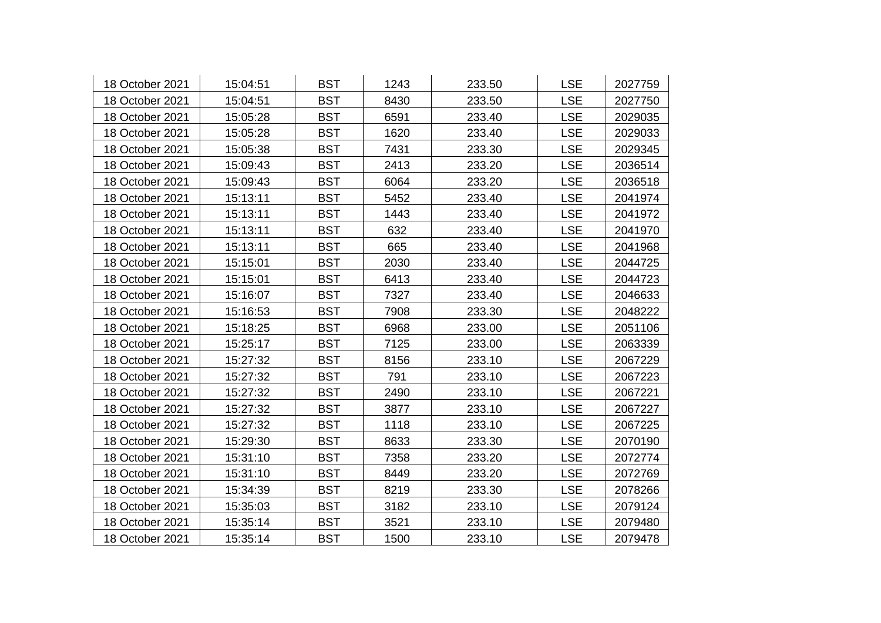| 18 October 2021 | 15:04:51 | <b>BST</b> | 1243 | 233.50 | <b>LSE</b> | 2027759 |
|-----------------|----------|------------|------|--------|------------|---------|
| 18 October 2021 | 15:04:51 | <b>BST</b> | 8430 | 233.50 | <b>LSE</b> | 2027750 |
| 18 October 2021 | 15:05:28 | <b>BST</b> | 6591 | 233.40 | <b>LSE</b> | 2029035 |
| 18 October 2021 | 15:05:28 | <b>BST</b> | 1620 | 233.40 | <b>LSE</b> | 2029033 |
| 18 October 2021 | 15:05:38 | <b>BST</b> | 7431 | 233.30 | <b>LSE</b> | 2029345 |
| 18 October 2021 | 15:09:43 | <b>BST</b> | 2413 | 233.20 | <b>LSE</b> | 2036514 |
| 18 October 2021 | 15:09:43 | <b>BST</b> | 6064 | 233.20 | <b>LSE</b> | 2036518 |
| 18 October 2021 | 15:13:11 | <b>BST</b> | 5452 | 233.40 | <b>LSE</b> | 2041974 |
| 18 October 2021 | 15:13:11 | <b>BST</b> | 1443 | 233.40 | <b>LSE</b> | 2041972 |
| 18 October 2021 | 15:13:11 | <b>BST</b> | 632  | 233.40 | <b>LSE</b> | 2041970 |
| 18 October 2021 | 15:13:11 | <b>BST</b> | 665  | 233.40 | <b>LSE</b> | 2041968 |
| 18 October 2021 | 15:15:01 | <b>BST</b> | 2030 | 233.40 | <b>LSE</b> | 2044725 |
| 18 October 2021 | 15:15:01 | <b>BST</b> | 6413 | 233.40 | <b>LSE</b> | 2044723 |
| 18 October 2021 | 15:16:07 | <b>BST</b> | 7327 | 233.40 | <b>LSE</b> | 2046633 |
| 18 October 2021 | 15:16:53 | <b>BST</b> | 7908 | 233.30 | <b>LSE</b> | 2048222 |
| 18 October 2021 | 15:18:25 | <b>BST</b> | 6968 | 233.00 | <b>LSE</b> | 2051106 |
| 18 October 2021 | 15:25:17 | <b>BST</b> | 7125 | 233.00 | <b>LSE</b> | 2063339 |
| 18 October 2021 | 15:27:32 | <b>BST</b> | 8156 | 233.10 | <b>LSE</b> | 2067229 |
| 18 October 2021 | 15:27:32 | <b>BST</b> | 791  | 233.10 | <b>LSE</b> | 2067223 |
| 18 October 2021 | 15:27:32 | <b>BST</b> | 2490 | 233.10 | <b>LSE</b> | 2067221 |
| 18 October 2021 | 15:27:32 | <b>BST</b> | 3877 | 233.10 | <b>LSE</b> | 2067227 |
| 18 October 2021 | 15:27:32 | <b>BST</b> | 1118 | 233.10 | <b>LSE</b> | 2067225 |
| 18 October 2021 | 15:29:30 | <b>BST</b> | 8633 | 233.30 | <b>LSE</b> | 2070190 |
| 18 October 2021 | 15:31:10 | <b>BST</b> | 7358 | 233.20 | <b>LSE</b> | 2072774 |
| 18 October 2021 | 15:31:10 | <b>BST</b> | 8449 | 233.20 | <b>LSE</b> | 2072769 |
| 18 October 2021 | 15:34:39 | <b>BST</b> | 8219 | 233.30 | <b>LSE</b> | 2078266 |
| 18 October 2021 | 15:35:03 | <b>BST</b> | 3182 | 233.10 | <b>LSE</b> | 2079124 |
| 18 October 2021 | 15:35:14 | <b>BST</b> | 3521 | 233.10 | <b>LSE</b> | 2079480 |
| 18 October 2021 | 15:35:14 | <b>BST</b> | 1500 | 233.10 | <b>LSE</b> | 2079478 |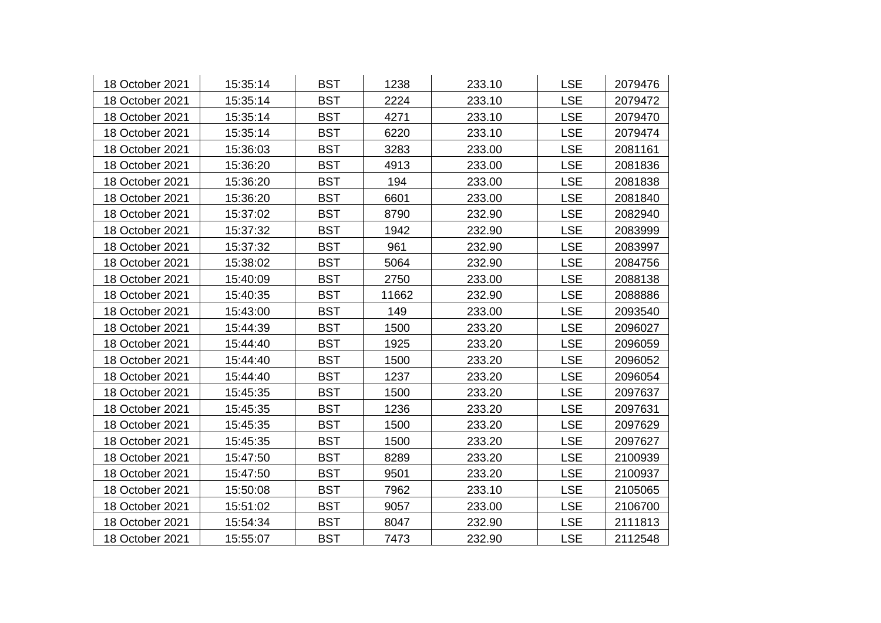| 18 October 2021 | 15:35:14 | <b>BST</b> | 1238  | 233.10 | <b>LSE</b> | 2079476 |
|-----------------|----------|------------|-------|--------|------------|---------|
| 18 October 2021 | 15:35:14 | <b>BST</b> | 2224  | 233.10 | <b>LSE</b> | 2079472 |
| 18 October 2021 | 15:35:14 | <b>BST</b> | 4271  | 233.10 | <b>LSE</b> | 2079470 |
| 18 October 2021 | 15:35:14 | <b>BST</b> | 6220  | 233.10 | <b>LSE</b> | 2079474 |
| 18 October 2021 | 15:36:03 | <b>BST</b> | 3283  | 233.00 | <b>LSE</b> | 2081161 |
| 18 October 2021 | 15:36:20 | <b>BST</b> | 4913  | 233.00 | <b>LSE</b> | 2081836 |
| 18 October 2021 | 15:36:20 | <b>BST</b> | 194   | 233.00 | <b>LSE</b> | 2081838 |
| 18 October 2021 | 15:36:20 | <b>BST</b> | 6601  | 233.00 | <b>LSE</b> | 2081840 |
| 18 October 2021 | 15:37:02 | <b>BST</b> | 8790  | 232.90 | <b>LSE</b> | 2082940 |
| 18 October 2021 | 15:37:32 | <b>BST</b> | 1942  | 232.90 | <b>LSE</b> | 2083999 |
| 18 October 2021 | 15:37:32 | <b>BST</b> | 961   | 232.90 | <b>LSE</b> | 2083997 |
| 18 October 2021 | 15:38:02 | <b>BST</b> | 5064  | 232.90 | <b>LSE</b> | 2084756 |
| 18 October 2021 | 15:40:09 | <b>BST</b> | 2750  | 233.00 | <b>LSE</b> | 2088138 |
| 18 October 2021 | 15:40:35 | <b>BST</b> | 11662 | 232.90 | <b>LSE</b> | 2088886 |
| 18 October 2021 | 15:43:00 | <b>BST</b> | 149   | 233.00 | <b>LSE</b> | 2093540 |
| 18 October 2021 | 15:44:39 | <b>BST</b> | 1500  | 233.20 | <b>LSE</b> | 2096027 |
| 18 October 2021 | 15:44:40 | <b>BST</b> | 1925  | 233.20 | <b>LSE</b> | 2096059 |
| 18 October 2021 | 15:44:40 | <b>BST</b> | 1500  | 233.20 | <b>LSE</b> | 2096052 |
| 18 October 2021 | 15:44:40 | <b>BST</b> | 1237  | 233.20 | <b>LSE</b> | 2096054 |
| 18 October 2021 | 15:45:35 | <b>BST</b> | 1500  | 233.20 | <b>LSE</b> | 2097637 |
| 18 October 2021 | 15:45:35 | <b>BST</b> | 1236  | 233.20 | <b>LSE</b> | 2097631 |
| 18 October 2021 | 15:45:35 | <b>BST</b> | 1500  | 233.20 | <b>LSE</b> | 2097629 |
| 18 October 2021 | 15:45:35 | <b>BST</b> | 1500  | 233.20 | <b>LSE</b> | 2097627 |
| 18 October 2021 | 15:47:50 | <b>BST</b> | 8289  | 233.20 | <b>LSE</b> | 2100939 |
| 18 October 2021 | 15:47:50 | <b>BST</b> | 9501  | 233.20 | <b>LSE</b> | 2100937 |
| 18 October 2021 | 15:50:08 | <b>BST</b> | 7962  | 233.10 | <b>LSE</b> | 2105065 |
| 18 October 2021 | 15:51:02 | <b>BST</b> | 9057  | 233.00 | <b>LSE</b> | 2106700 |
| 18 October 2021 | 15:54:34 | <b>BST</b> | 8047  | 232.90 | <b>LSE</b> | 2111813 |
| 18 October 2021 | 15:55:07 | <b>BST</b> | 7473  | 232.90 | <b>LSE</b> | 2112548 |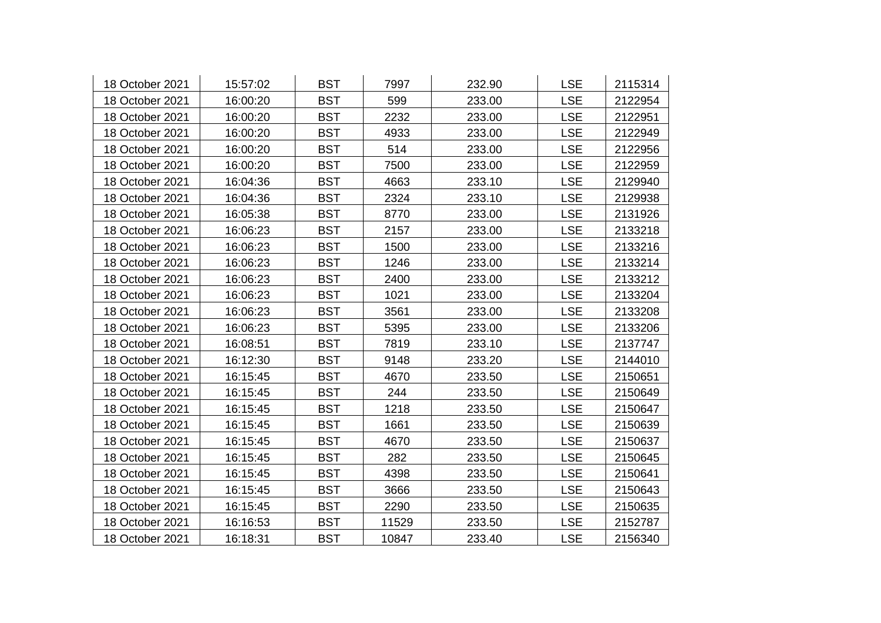| 18 October 2021 | 15:57:02 | <b>BST</b> | 7997  | 232.90 | <b>LSE</b> | 2115314 |
|-----------------|----------|------------|-------|--------|------------|---------|
| 18 October 2021 | 16:00:20 | <b>BST</b> | 599   | 233.00 | <b>LSE</b> | 2122954 |
| 18 October 2021 | 16:00:20 | <b>BST</b> | 2232  | 233.00 | <b>LSE</b> | 2122951 |
| 18 October 2021 | 16:00:20 | <b>BST</b> | 4933  | 233.00 | <b>LSE</b> | 2122949 |
| 18 October 2021 | 16:00:20 | <b>BST</b> | 514   | 233.00 | <b>LSE</b> | 2122956 |
| 18 October 2021 | 16:00:20 | <b>BST</b> | 7500  | 233.00 | <b>LSE</b> | 2122959 |
| 18 October 2021 | 16:04:36 | <b>BST</b> | 4663  | 233.10 | <b>LSE</b> | 2129940 |
| 18 October 2021 | 16:04:36 | <b>BST</b> | 2324  | 233.10 | <b>LSE</b> | 2129938 |
| 18 October 2021 | 16:05:38 | <b>BST</b> | 8770  | 233.00 | <b>LSE</b> | 2131926 |
| 18 October 2021 | 16:06:23 | <b>BST</b> | 2157  | 233.00 | <b>LSE</b> | 2133218 |
| 18 October 2021 | 16:06:23 | <b>BST</b> | 1500  | 233.00 | <b>LSE</b> | 2133216 |
| 18 October 2021 | 16:06:23 | <b>BST</b> | 1246  | 233.00 | <b>LSE</b> | 2133214 |
| 18 October 2021 | 16:06:23 | <b>BST</b> | 2400  | 233.00 | <b>LSE</b> | 2133212 |
| 18 October 2021 | 16:06:23 | <b>BST</b> | 1021  | 233.00 | <b>LSE</b> | 2133204 |
| 18 October 2021 | 16:06:23 | <b>BST</b> | 3561  | 233.00 | <b>LSE</b> | 2133208 |
| 18 October 2021 | 16:06:23 | <b>BST</b> | 5395  | 233.00 | <b>LSE</b> | 2133206 |
| 18 October 2021 | 16:08:51 | <b>BST</b> | 7819  | 233.10 | <b>LSE</b> | 2137747 |
| 18 October 2021 | 16:12:30 | <b>BST</b> | 9148  | 233.20 | <b>LSE</b> | 2144010 |
| 18 October 2021 | 16:15:45 | <b>BST</b> | 4670  | 233.50 | <b>LSE</b> | 2150651 |
| 18 October 2021 | 16:15:45 | <b>BST</b> | 244   | 233.50 | <b>LSE</b> | 2150649 |
| 18 October 2021 | 16:15:45 | <b>BST</b> | 1218  | 233.50 | <b>LSE</b> | 2150647 |
| 18 October 2021 | 16:15:45 | <b>BST</b> | 1661  | 233.50 | <b>LSE</b> | 2150639 |
| 18 October 2021 | 16:15:45 | <b>BST</b> | 4670  | 233.50 | <b>LSE</b> | 2150637 |
| 18 October 2021 | 16:15:45 | <b>BST</b> | 282   | 233.50 | <b>LSE</b> | 2150645 |
| 18 October 2021 | 16:15:45 | <b>BST</b> | 4398  | 233.50 | <b>LSE</b> | 2150641 |
| 18 October 2021 | 16:15:45 | <b>BST</b> | 3666  | 233.50 | <b>LSE</b> | 2150643 |
| 18 October 2021 | 16:15:45 | <b>BST</b> | 2290  | 233.50 | <b>LSE</b> | 2150635 |
| 18 October 2021 | 16:16:53 | <b>BST</b> | 11529 | 233.50 | <b>LSE</b> | 2152787 |
| 18 October 2021 | 16:18:31 | <b>BST</b> | 10847 | 233.40 | <b>LSE</b> | 2156340 |